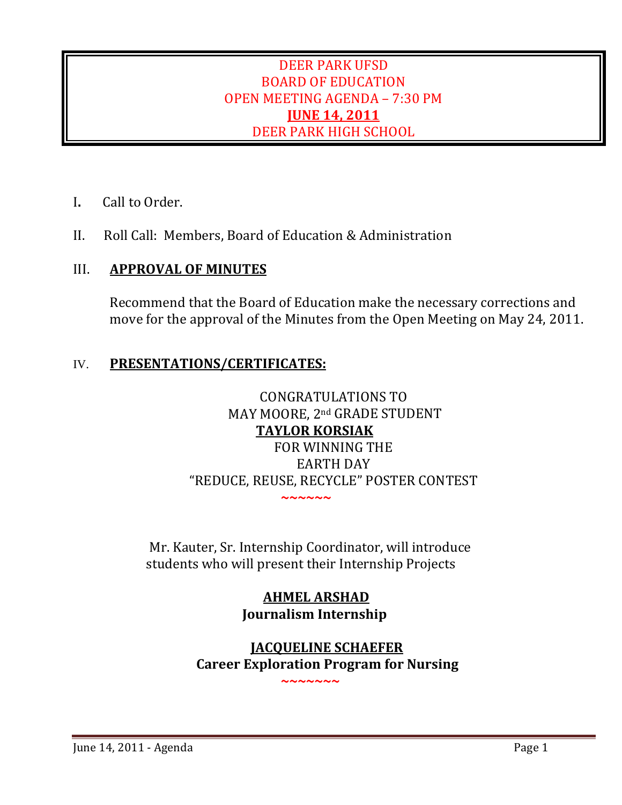# DEER PARK UFSD BOARD OF EDUCATION OPEN MEETING AGENDA – 7:30 PM **JUNE 14, 2011** DEER PARK HIGH SCHOOL

- I**.** Call to Order.
- II. Roll Call: Members, Board of Education & Administration

# III. **APPROVAL OF MINUTES**

Recommend that the Board of Education make the necessary corrections and move for the approval of the Minutes from the Open Meeting on May 24, 2011.

# IV. **PRESENTATIONS/CERTIFICATES:**

# CONGRATULATIONS TO MAY MOORE, 2nd GRADE STUDENT **TAYLOR KORSIAK** FOR WINNING THE EARTH DAY "REDUCE, REUSE, RECYCLE" POSTER CONTEST **~**~~~~~~~~~~~~

 Mr. Kauter, Sr. Internship Coordinator, will introduce students who will present their Internship Projects

> **AHMEL ARSHAD Journalism Internship**

> > $\sim$   $\sim$   $\sim$   $\sim$   $\sim$   $\sim$

 **JACQUELINE SCHAEFER Career Exploration Program for Nursing**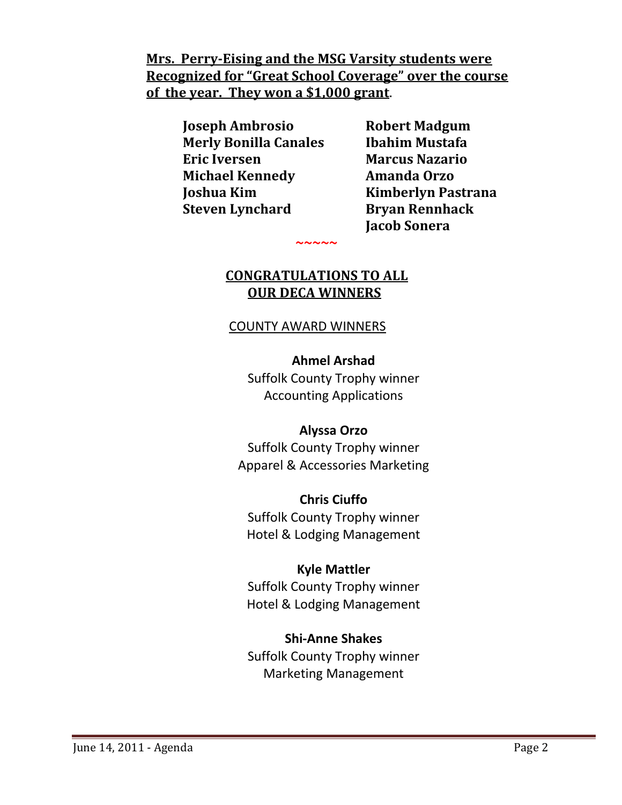**Mrs. PerryEising and the MSG Varsity students were Recognized for "Great School Coverage" over the course of the year. They won a \$1,000 grant**.

> **Joseph Ambrosio Robert Madgum Merly Bonilla Canales Ibahim Mustafa Eric Iversen Marcus Nazario Michael Kennedy Amanda Orzo Joshua Kim Kimberlyn Pastrana Steven Lynchard Bryan Rennhack**

**~**~~~~~~~~~~~~~~~~

 **Jacob Sonera**

# **CONGRATULATIONS TO ALL OUR DECA WINNERS**

## COUNTY AWARD WINNERS

## **Ahmel Arshad**

Suffolk County Trophy winner Accounting Applications

## **Alyssa Orzo**

Suffolk County Trophy winner Apparel & Accessories Marketing

## **Chris Ciuffo**

Suffolk County Trophy winner Hotel & Lodging Management

## **Kyle Mattler**

Suffolk County Trophy winner Hotel & Lodging Management

# **Shi‐Anne Shakes**

Suffolk County Trophy winner Marketing Management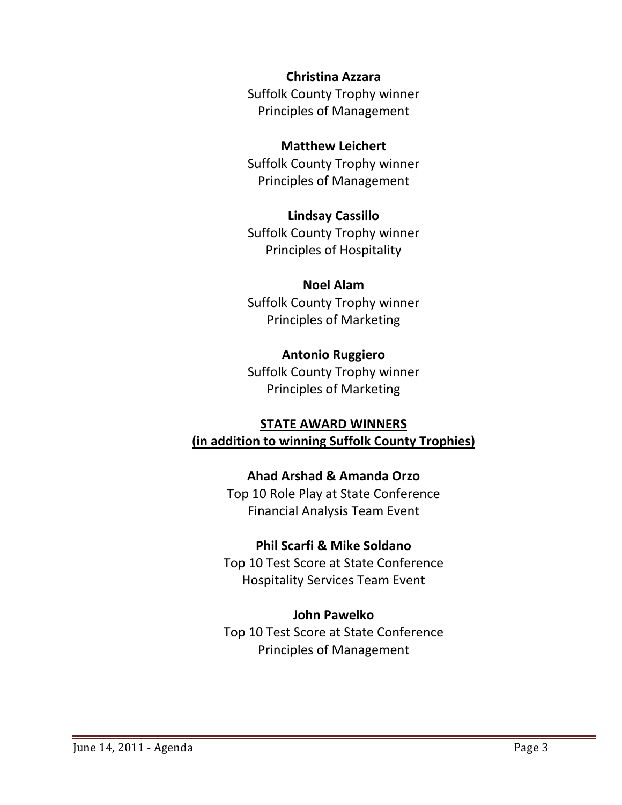**Christina Azzara**

Suffolk County Trophy winner Principles of Management

## **Matthew Leichert**

Suffolk County Trophy winner Principles of Management

## **Lindsay Cassillo**

Suffolk County Trophy winner Principles of Hospitality

## **Noel Alam**

Suffolk County Trophy winner Principles of Marketing

## **Antonio Ruggiero**

Suffolk County Trophy winner Principles of Marketing

## **STATE AWARD WINNERS**

**(in addition to winning Suffolk County Trophies)**

## **Ahad Arshad & Amanda Orzo**

Top 10 Role Play at State Conference Financial Analysis Team Event

## **Phil Scarfi & Mike Soldano**

Top 10 Test Score at State Conference Hospitality Services Team Event

## **John Pawelko**

Top 10 Test Score at State Conference Principles of Management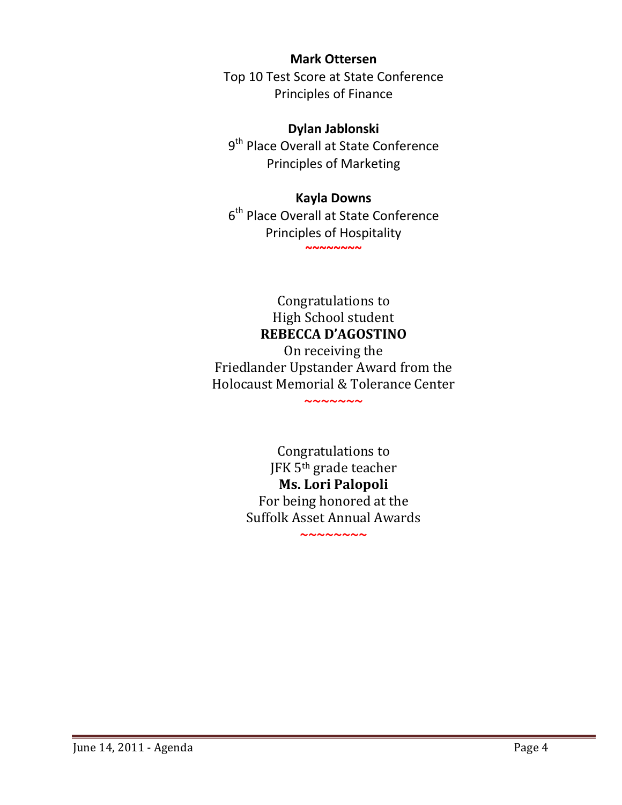## **Mark Ottersen**

Top 10 Test Score at State Conference Principles of Finance

## **Dylan Jablonski**

9<sup>th</sup> Place Overall at State Conference Principles of Marketing

## **Kayla Downs**

6<sup>th</sup> Place Overall at State Conference Principles of Hospitality **~~~~~~~~**

> Congratulations to High School student **REBECCA D'AGOSTINO**

On receiving the Friedlander Upstander Award from the Holocaust Memorial & Tolerance Center

**~~~~~~~**

Congratulations to JFK 5th grade teacher **Ms. Lori Palopoli** For being honored at the Suffolk Asset Annual Awards

**~~~~~~~~**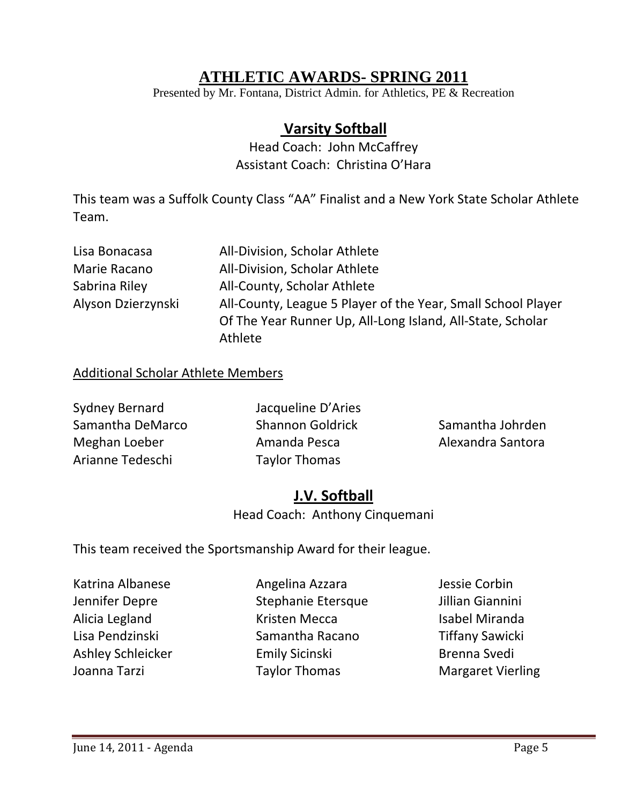# **ATHLETIC AWARDS- SPRING 2011**

Presented by Mr. Fontana, District Admin. for Athletics, PE & Recreation

# **Varsity Softball**

Head Coach: John McCaffrey Assistant Coach: Christina O'Hara

This team was a Suffolk County Class "AA" Finalist and a New York State Scholar Athlete Team.

| Lisa Bonacasa      | All-Division, Scholar Athlete                                |
|--------------------|--------------------------------------------------------------|
| Marie Racano       | All-Division, Scholar Athlete                                |
| Sabrina Riley      | All-County, Scholar Athlete                                  |
| Alyson Dzierzynski | All-County, League 5 Player of the Year, Small School Player |
|                    | Of The Year Runner Up, All-Long Island, All-State, Scholar   |
|                    | Athlete                                                      |

## Additional Scholar Athlete Members

| Sydney Bernard   | Jacqueline D'Aries      |                   |
|------------------|-------------------------|-------------------|
| Samantha DeMarco | <b>Shannon Goldrick</b> | Samantha Johrden  |
| Meghan Loeber    | Amanda Pesca            | Alexandra Santora |
| Arianne Tedeschi | <b>Taylor Thomas</b>    |                   |

# **J.V. Softball**

Head Coach: Anthony Cinquemani

This team received the Sportsmanship Award for their league.

Katrina Albanese Angelina Azzara Jessie Corbin Jennifer Depre Stephanie Etersque Jillian Giannini Alicia Legland **The Contract Contract Contract Contract Contract Contract Contract Contract Contract Contract Contract Contract Contract Contract Contract Contract Contract Contract Contract Contract Contract Contract Cont** Lisa Pendzinski Samantha Racano Tiffany Sawicki Ashley Schleicker **Emily Sicinski** Brenna Svedi Joanna Tarzi Taylor Thomas Margaret Vierling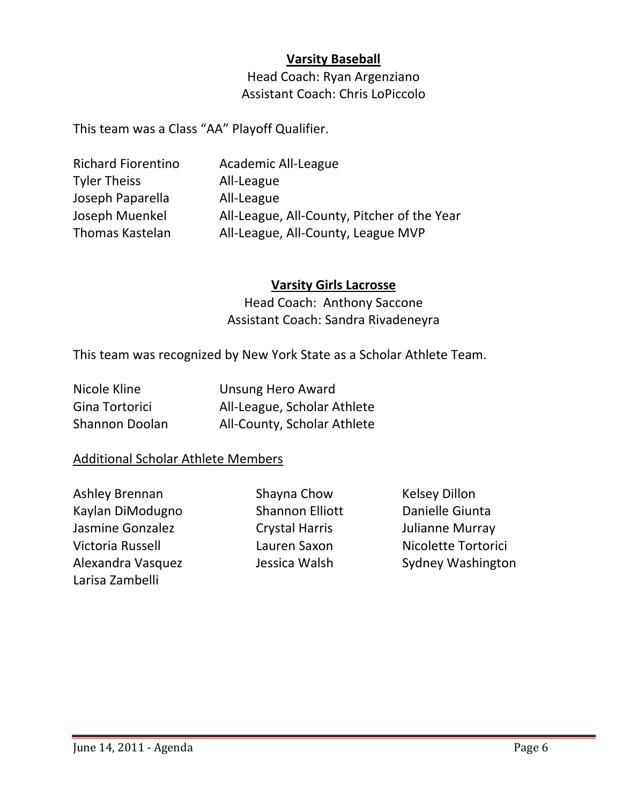## **Varsity Baseball**

Head Coach: Ryan Argenziano Assistant Coach: Chris LoPiccolo

This team was a Class "AA" Playoff Qualifier.

| Academic All-League                         |
|---------------------------------------------|
| All-League                                  |
| All-League                                  |
| All-League, All-County, Pitcher of the Year |
| All-League, All-County, League MVP          |
|                                             |

## **Varsity Girls Lacrosse**

Head Coach: Anthony Saccone Assistant Coach: Sandra Rivadeneyra

This team was recognized by New York State as a Scholar Athlete Team.

| Nicole Kline   | <b>Unsung Hero Award</b>    |
|----------------|-----------------------------|
| Gina Tortorici | All-League, Scholar Athlete |
| Shannon Doolan | All-County, Scholar Athlete |

## Additional Scholar Athlete Members

Ashley Brennan Shayna Chow Kelsey Dillon Kaylan DiModugno Shannon Elliott Danielle Giunta Jasmine Gonzalez Crystal Harris Julianne Murray Victoria Russell Lauren Saxon Nicolette Tortorici Larisa Zambelli

Alexandra Vasquez **Jessica Walsh Galexandra Vasquez** Jessica Walsh Sydney Washington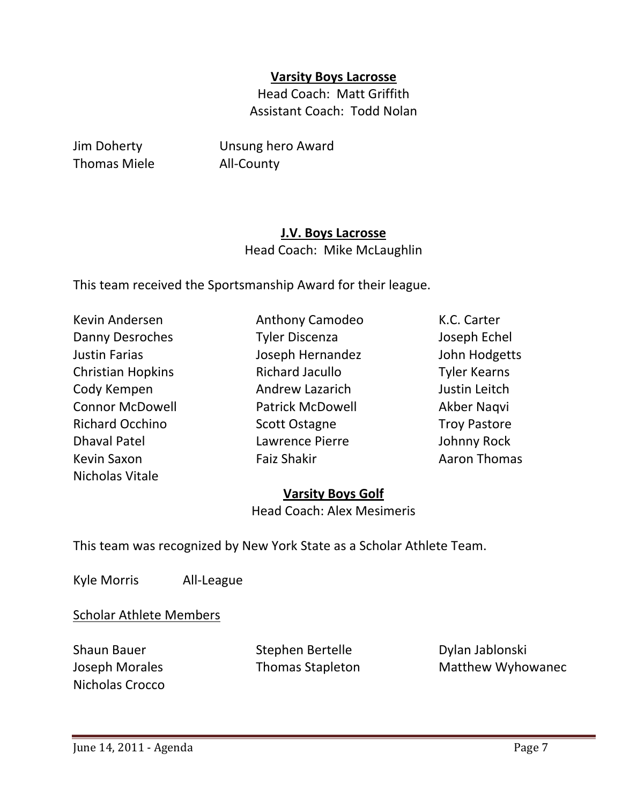## **Varsity Boys Lacrosse**

Head Coach: Matt Griffith Assistant Coach: Todd Nolan

Thomas Miele **All-County** 

Jim Doherty Unsung hero Award

## **J.V. Boys Lacrosse**

Head Coach: Mike McLaughlin

This team received the Sportsmanship Award for their league.

| Kevin Andersen           |
|--------------------------|
| Danny Desroches          |
| Justin Farias            |
| <b>Christian Hopkins</b> |
| Cody Kempen              |
| <b>Connor McDowell</b>   |
| <b>Richard Occhino</b>   |
| Dhaval Patel             |
| Kevin Saxon              |
| Nicholas Vitale          |

Danny Desroches Tyler Discenza Joseph Echel Justin Farias Joseph Hernandez John Hodgetts Richard Jacullo **Tyler Kearns** Andrew Lazarich **Internal Exercise Institute Andrew Lazarich Internal Exercise** Patrick McDowell **Akber Naqvi** Richard Occhino Scott Ostagne Troy Pastore Lawrence Pierre **Internal Patel School** Johnny Rock Faiz Shakir **Baxon Shakir** Aaron Thomas

Anthony Camodeo **K.C. Carter** 

## **Varsity Boys Golf**

Head Coach: Alex Mesimeris

This team was recognized by New York State as a Scholar Athlete Team.

Kyle Morris All-League

Scholar Athlete Members

Nicholas Crocco

Shaun Bauer **Stephen Bertelle Shaun Bauer** Dylan Jablonski

Joseph Morales Thomas Stapleton Matthew Wyhowanec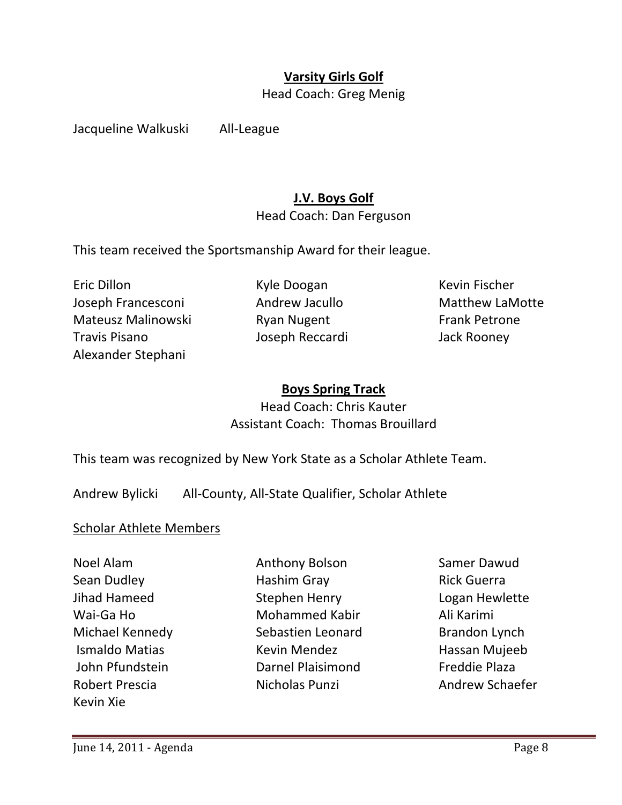# **Varsity Girls Golf**

Head Coach: Greg Menig

Jacqueline Walkuski All‐League

## **J.V. Boys Golf**

Head Coach: Dan Ferguson

This team received the Sportsmanship Award for their league.

Eric Dillon Kyle Doogan Kevin Fischer Joseph Francesconi Andrew Jacullo Matthew LaMotte Mateusz Malinowski Karen Ryan Nugent Karen Frank Petrone Travis Pisano Joseph Reccardi Jack Rooney Alexander Stephani

## **Boys Spring Track**

Head Coach: Chris Kauter Assistant Coach: Thomas Brouillard

This team was recognized by New York State as a Scholar Athlete Team.

Andrew Bylicki All‐County, All‐State Qualifier, Scholar Athlete

### Scholar Athlete Members

Kevin Xie

Noel Alam Anthony Bolson Samer Dawud Sean Dudley Hashim Gray Rick Guerra Jihad Hameed Stephen Henry Logan Hewlette Wai‐Ga Ho Mohammed Kabir Ali Karimi Michael Kennedy **Sebastien Leonard** Brandon Lynch Ismaldo Matias Kevin Mendez Hassan Mujeeb John Pfundstein Darnel Plaisimond Freddie Plaza Robert Prescia Nicholas Punzi Andrew Schaefer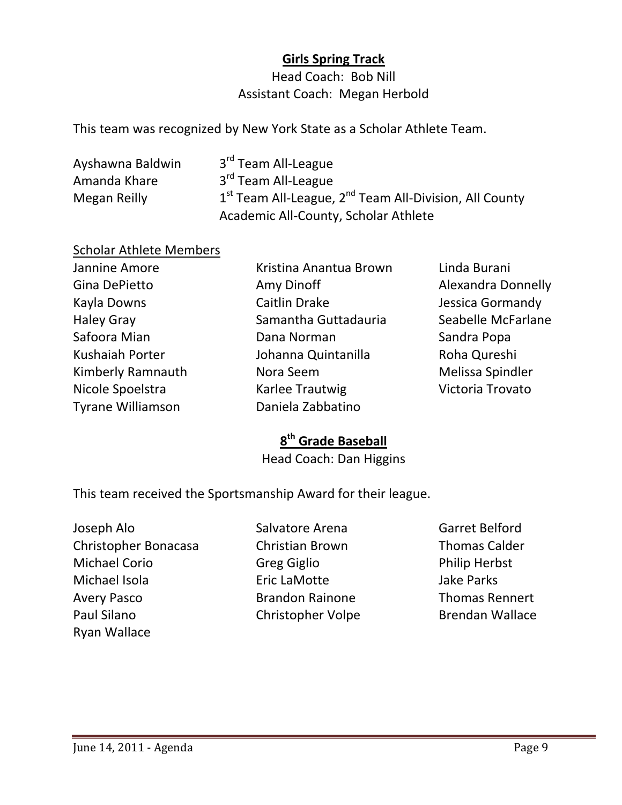# **Girls Spring Track**

Head Coach: Bob Nill Assistant Coach: Megan Herbold

This team was recognized by New York State as a Scholar Athlete Team.

| Ayshawna Baldwin | 3 <sup>rd</sup> Team All-League                            |
|------------------|------------------------------------------------------------|
| Amanda Khare     | 3 <sup>rd</sup> Team All-League                            |
| Megan Reilly     | $1st$ Team All-League, $2nd$ Team All-Division, All County |
|                  | Academic All-County, Scholar Athlete                       |

## Scholar Athlete Members

| Jannine Amore     | Kristina Anantua Brown | Lir             |
|-------------------|------------------------|-----------------|
| Gina DePietto     | Amy Dinoff             | Al <sub>1</sub> |
| Kayla Downs       | <b>Caitlin Drake</b>   | Je.             |
| <b>Haley Gray</b> | Samantha Guttadauria   | Se              |
| Safoora Mian      | Dana Norman            | Sa              |
| Kushaiah Porter   | Johanna Quintanilla    | Rc              |
| Kimberly Ramnauth | Nora Seem              | M               |
| Nicole Spoelstra  | Karlee Trautwig        | Vi              |
| Tyrane Williamson | Daniela Zabbatino      |                 |
|                   |                        |                 |

nda Burani exandra Donnelly ssica Gormandy abelle McFarlane ndra Popa oha Qureshi **Ielissa Spindler** ctoria Trovato

# **8th Grade Baseball**

Head Coach: Dan Higgins

This team received the Sportsmanship Award for their league.

Joseph Alo Salvatore Arena Garret Belford Christopher Bonacasa Christian Brown Thomas Calder Michael Corio Greg Giglio Philip Herbst Michael Isola Eric LaMotte Jake Parks Avery Pasco **Brandon Rainone Thomas Rennert** Paul Silano Christopher Volpe Brendan Wallace Ryan Wallace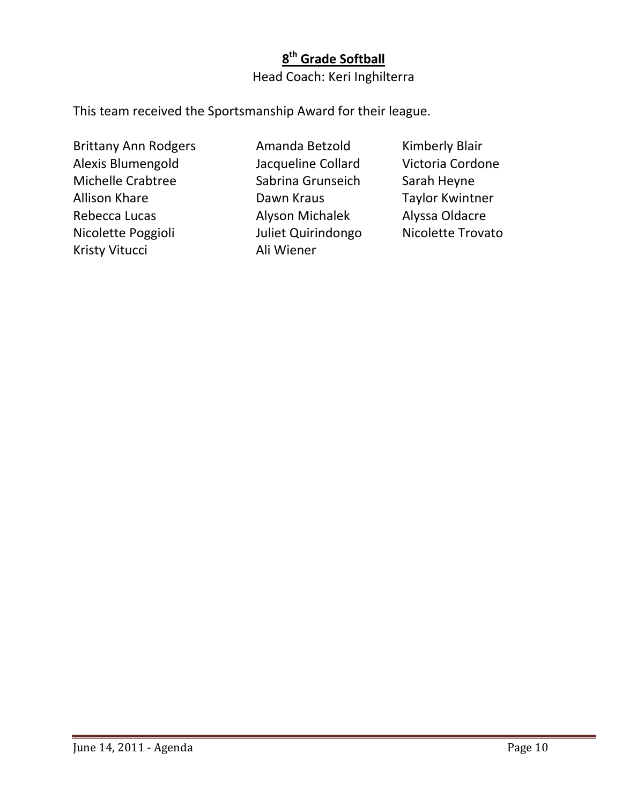# **8th Grade Softball** Head Coach: Keri Inghilterra

This team received the Sportsmanship Award for their league.

Brittany Ann Rodgers **Manda Betzold Kimberly Blair** Alexis Blumengold Jacqueline Collard Victoria Cordone Michelle Crabtree Sabrina Grunseich Sarah Heyne Allison Khare Dawn Kraus Taylor Kwintner Rebecca Lucas Alyson Michalek Alyssa Oldacre Nicolette Poggioli Juliet Quirindongo Nicolette Trovato Kristy Vitucci Ali Wiener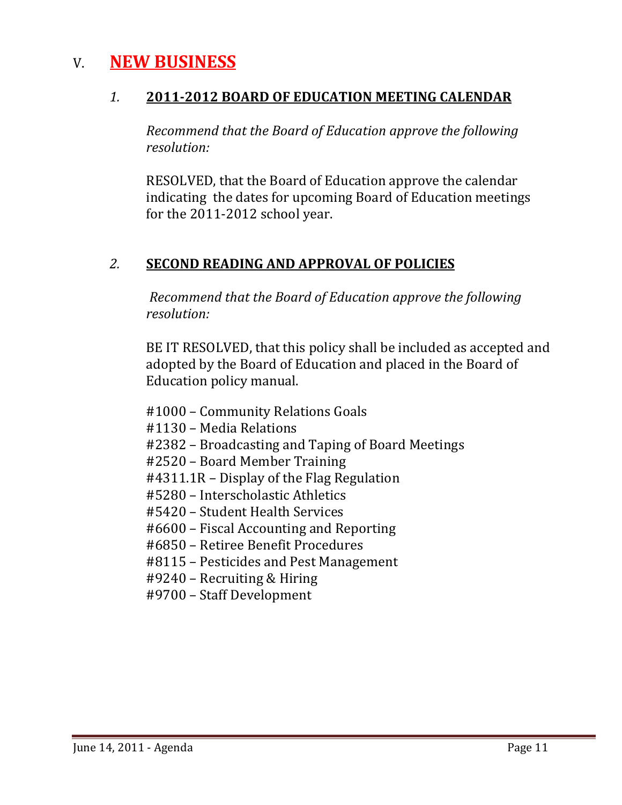# V. **NEW BUSINESS**

# *1.* **20112012 BOARD OF EDUCATION MEETING CALENDAR**

*Recommend that the Board of Education approve the following resolution:*

 RESOLVED, that the Board of Education approve the calendar indicating the dates for upcoming Board of Education meetings for the 2011‐2012 school year.

# *2.* **SECOND READING AND APPROVAL OF POLICIES**

 *Recommend that the Board of Education approve the following resolution:*

BE IT RESOLVED, that this policy shall be included as accepted and adopted by the Board of Education and placed in the Board of Education policy manual.

- #1000 Community Relations Goals
- #1130 Media Relations
- #2382 Broadcasting and Taping of Board Meetings
- #2520 Board Member Training
- #4311.1R Display of the Flag Regulation
- #5280 Interscholastic Athletics
- #5420 Student Health Services
- #6600 Fiscal Accounting and Reporting
- #6850 Retiree Benefit Procedures
- #8115 Pesticides and Pest Management
- #9240 Recruiting & Hiring
- #9700 Staff Development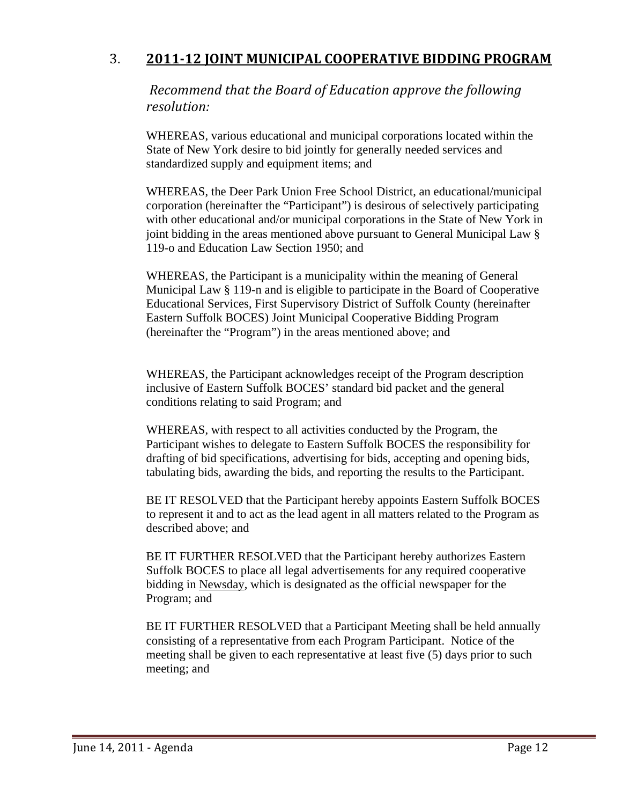# 3. **201112 JOINT MUNICIPAL COOPERATIVE BIDDING PROGRAM**

*Recommend that the Board of Education approve the following resolution:*

 WHEREAS, various educational and municipal corporations located within the State of New York desire to bid jointly for generally needed services and standardized supply and equipment items; and

 WHEREAS, the Deer Park Union Free School District, an educational/municipal corporation (hereinafter the "Participant") is desirous of selectively participating with other educational and/or municipal corporations in the State of New York in joint bidding in the areas mentioned above pursuant to General Municipal Law § 119-o and Education Law Section 1950; and

 WHEREAS, the Participant is a municipality within the meaning of General Municipal Law § 119-n and is eligible to participate in the Board of Cooperative Educational Services, First Supervisory District of Suffolk County (hereinafter Eastern Suffolk BOCES) Joint Municipal Cooperative Bidding Program (hereinafter the "Program") in the areas mentioned above; and

 WHEREAS, the Participant acknowledges receipt of the Program description inclusive of Eastern Suffolk BOCES' standard bid packet and the general conditions relating to said Program; and

 WHEREAS, with respect to all activities conducted by the Program, the Participant wishes to delegate to Eastern Suffolk BOCES the responsibility for drafting of bid specifications, advertising for bids, accepting and opening bids, tabulating bids, awarding the bids, and reporting the results to the Participant.

 BE IT RESOLVED that the Participant hereby appoints Eastern Suffolk BOCES to represent it and to act as the lead agent in all matters related to the Program as described above; and

 BE IT FURTHER RESOLVED that the Participant hereby authorizes Eastern Suffolk BOCES to place all legal advertisements for any required cooperative bidding in Newsday, which is designated as the official newspaper for the Program; and

 BE IT FURTHER RESOLVED that a Participant Meeting shall be held annually consisting of a representative from each Program Participant. Notice of the meeting shall be given to each representative at least five (5) days prior to such meeting; and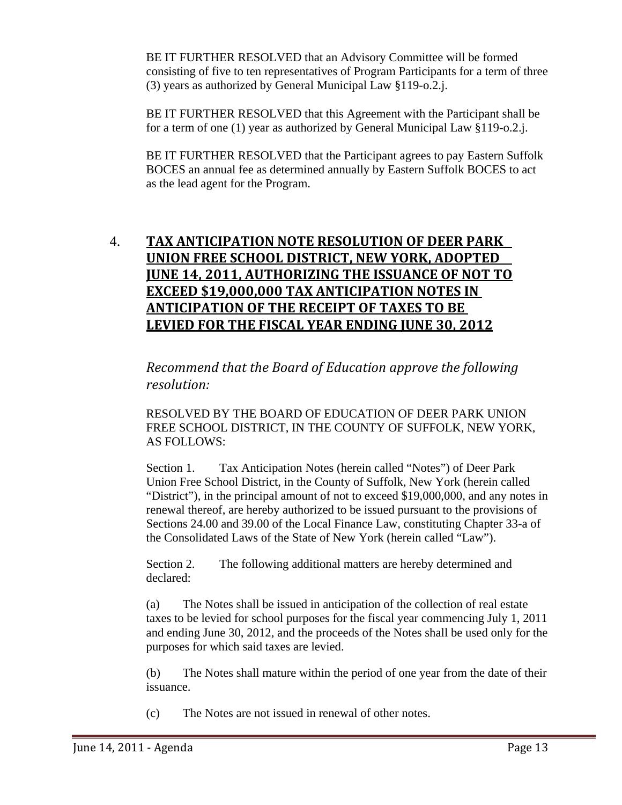BE IT FURTHER RESOLVED that an Advisory Committee will be formed consisting of five to ten representatives of Program Participants for a term of three (3) years as authorized by General Municipal Law §119-o.2.j.

 BE IT FURTHER RESOLVED that this Agreement with the Participant shall be for a term of one (1) year as authorized by General Municipal Law §119-o.2.j.

 BE IT FURTHER RESOLVED that the Participant agrees to pay Eastern Suffolk BOCES an annual fee as determined annually by Eastern Suffolk BOCES to act as the lead agent for the Program.

# 4. **TAX ANTICIPATION NOTE RESOLUTION OF DEER PARK UNION FREE SCHOOL DISTRICT, NEW YORK, ADOPTED JUNE 14, 2011, AUTHORIZING THE ISSUANCE OF NOT TO EXCEED \$19,000,000 TAX ANTICIPATION NOTES IN ANTICIPATION OF THE RECEIPT OF TAXES TO BE LEVIED FOR THE FISCAL YEAR ENDING JUNE 30, 2012**

*Recommend that the Board of Education approve the following resolution:*

RESOLVED BY THE BOARD OF EDUCATION OF DEER PARK UNION FREE SCHOOL DISTRICT, IN THE COUNTY OF SUFFOLK, NEW YORK, AS FOLLOWS:

Section 1. Tax Anticipation Notes (herein called "Notes") of Deer Park Union Free School District, in the County of Suffolk, New York (herein called "District"), in the principal amount of not to exceed \$19,000,000, and any notes in renewal thereof, are hereby authorized to be issued pursuant to the provisions of Sections 24.00 and 39.00 of the Local Finance Law, constituting Chapter 33-a of the Consolidated Laws of the State of New York (herein called "Law").

Section 2. The following additional matters are hereby determined and declared:

(a) The Notes shall be issued in anticipation of the collection of real estate taxes to be levied for school purposes for the fiscal year commencing July 1, 2011 and ending June 30, 2012, and the proceeds of the Notes shall be used only for the purposes for which said taxes are levied.

(b) The Notes shall mature within the period of one year from the date of their issuance.

(c) The Notes are not issued in renewal of other notes.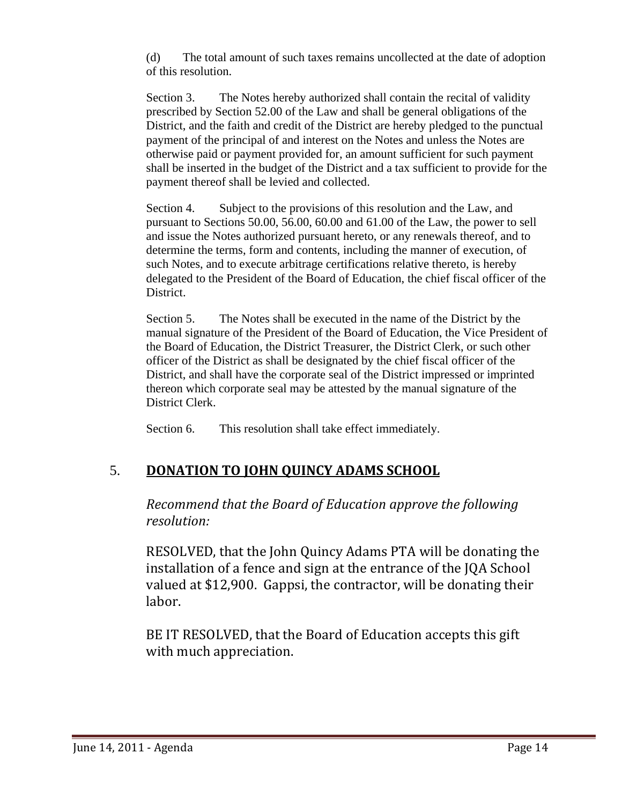(d) The total amount of such taxes remains uncollected at the date of adoption of this resolution.

Section 3. The Notes hereby authorized shall contain the recital of validity prescribed by Section 52.00 of the Law and shall be general obligations of the District, and the faith and credit of the District are hereby pledged to the punctual payment of the principal of and interest on the Notes and unless the Notes are otherwise paid or payment provided for, an amount sufficient for such payment shall be inserted in the budget of the District and a tax sufficient to provide for the payment thereof shall be levied and collected.

Section 4. Subject to the provisions of this resolution and the Law, and pursuant to Sections 50.00, 56.00, 60.00 and 61.00 of the Law, the power to sell and issue the Notes authorized pursuant hereto, or any renewals thereof, and to determine the terms, form and contents, including the manner of execution, of such Notes, and to execute arbitrage certifications relative thereto, is hereby delegated to the President of the Board of Education, the chief fiscal officer of the District.

Section 5. The Notes shall be executed in the name of the District by the manual signature of the President of the Board of Education, the Vice President of the Board of Education, the District Treasurer, the District Clerk, or such other officer of the District as shall be designated by the chief fiscal officer of the District, and shall have the corporate seal of the District impressed or imprinted thereon which corporate seal may be attested by the manual signature of the District Clerk.

Section 6. This resolution shall take effect immediately.

# 5. **DONATION TO JOHN QUINCY ADAMS SCHOOL**

*Recommend that the Board of Education approve the following resolution:*

 RESOLVED, that the John Quincy Adams PTA will be donating the installation of a fence and sign at the entrance of the JQA School valued at \$12,900. Gappsi, the contractor, will be donating their labor.

 BE IT RESOLVED, that the Board of Education accepts this gift with much appreciation.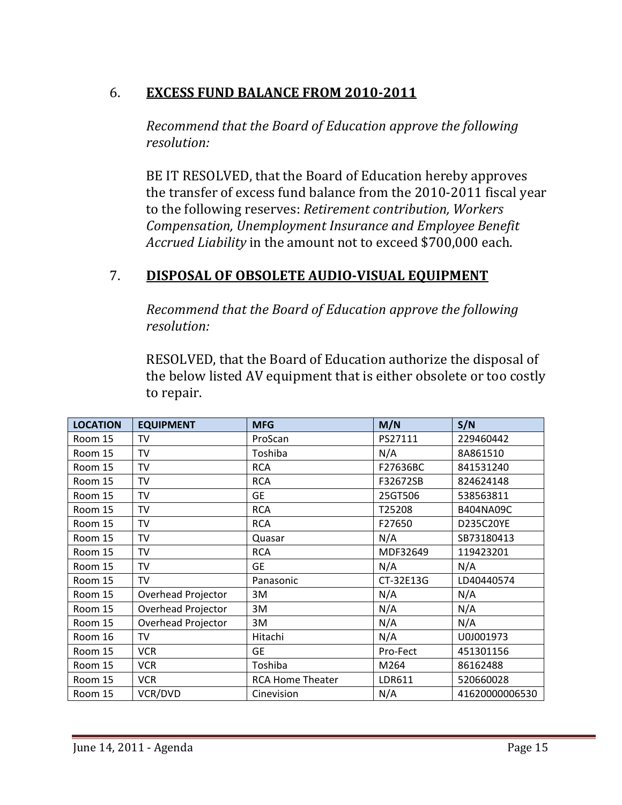# 6. **EXCESS FUND BALANCE FROM 20102011**

*Recommend that the Board of Education approve the following resolution:*

 BE IT RESOLVED, that the Board of Education hereby approves the transfer of excess fund balance from the 2010‐2011 fiscal year to the following reserves: *Retirement contribution, Workers Compensation, Unemployment Insurance and Employee Benefit Accrued Liability* in the amount not to exceed \$700,000 each.

# 7. **DISPOSAL OF OBSOLETE AUDIOVISUAL EQUIPMENT**

*Recommend that the Board of Education approve the following resolution:*

 RESOLVED, that the Board of Education authorize the disposal of the below listed AV equipment that is either obsolete or too costly to repair.

| <b>LOCATION</b> | <b>EQUIPMENT</b>   | <b>MFG</b>              | M/N       | S/N            |
|-----------------|--------------------|-------------------------|-----------|----------------|
| Room 15         | TV                 | ProScan                 | PS27111   | 229460442      |
| Room 15         | TV                 | Toshiba                 | N/A       | 8A861510       |
| Room 15         | <b>TV</b>          | <b>RCA</b>              | F27636BC  | 841531240      |
| Room 15         | TV                 | <b>RCA</b>              | F32672SB  | 824624148      |
| Room 15         | <b>TV</b>          | <b>GE</b>               | 25GT506   | 538563811      |
| Room 15         | TV                 | <b>RCA</b>              | T25208    | B404NA09C      |
| Room 15         | <b>TV</b>          | <b>RCA</b>              | F27650    | D235C20YE      |
| Room 15         | TV                 | Quasar                  | N/A       | SB73180413     |
| Room 15         | TV                 | <b>RCA</b>              | MDF32649  | 119423201      |
| Room 15         | TV                 | <b>GE</b>               | N/A       | N/A            |
| Room 15         | TV                 | Panasonic               | CT-32E13G | LD40440574     |
| Room 15         | Overhead Projector | 3M                      | N/A       | N/A            |
| Room 15         | Overhead Projector | 3M                      | N/A       | N/A            |
| Room 15         | Overhead Projector | 3M                      | N/A       | N/A            |
| Room 16         | <b>TV</b>          | Hitachi                 | N/A       | U0J001973      |
| Room 15         | <b>VCR</b>         | <b>GE</b>               | Pro-Fect  | 451301156      |
| Room 15         | <b>VCR</b>         | Toshiba                 | M264      | 86162488       |
| Room 15         | <b>VCR</b>         | <b>RCA Home Theater</b> | LDR611    | 520660028      |
| Room 15         | VCR/DVD            | Cinevision              | N/A       | 41620000006530 |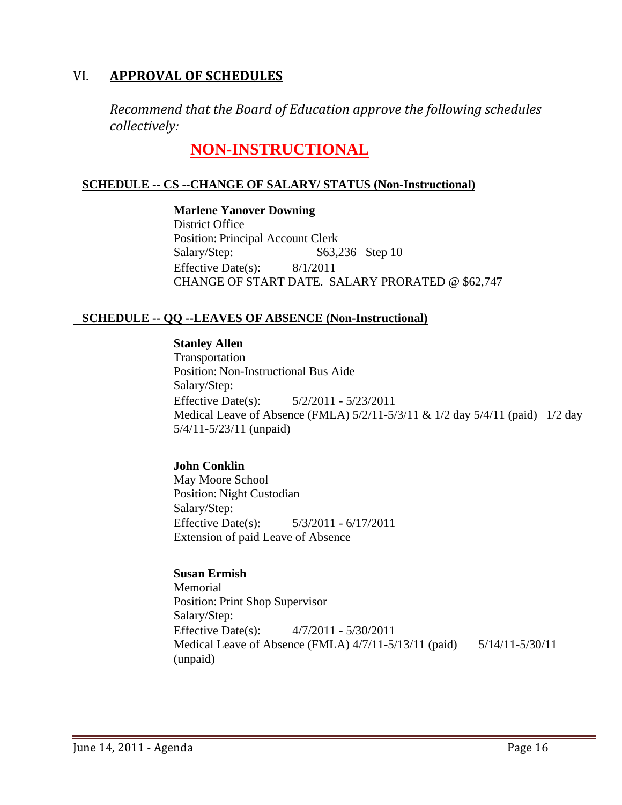## VI. **APPROVAL OF SCHEDULES**

*Recommend that the Board of Education approve the following schedules collectively:*

# **NON-INSTRUCTIONAL**

## **SCHEDULE -- CS --CHANGE OF SALARY/ STATUS (Non-Instructional)**

**Marlene Yanover Downing** District Office Position: Principal Account Clerk Salary/Step: \$63,236 Step 10 Effective Date(s): 8/1/2011 CHANGE OF START DATE. SALARY PRORATED @ \$62,747

## **SCHEDULE -- QQ --LEAVES OF ABSENCE (Non-Instructional)**

#### **Stanley Allen**

Transportation Position: Non-Instructional Bus Aide Salary/Step: Effective Date(s): 5/2/2011 - 5/23/2011 Medical Leave of Absence (FMLA) 5/2/11-5/3/11 & 1/2 day 5/4/11 (paid) 1/2 day 5/4/11-5/23/11 (unpaid)

### **John Conklin**

May Moore School Position: Night Custodian Salary/Step: Effective Date(s): 5/3/2011 - 6/17/2011 Extension of paid Leave of Absence

## **Susan Ermish**

Memorial Position: Print Shop Supervisor Salary/Step: Effective Date(s): 4/7/2011 - 5/30/2011 Medical Leave of Absence (FMLA) 4/7/11-5/13/11 (paid) 5/14/11-5/30/11 (unpaid)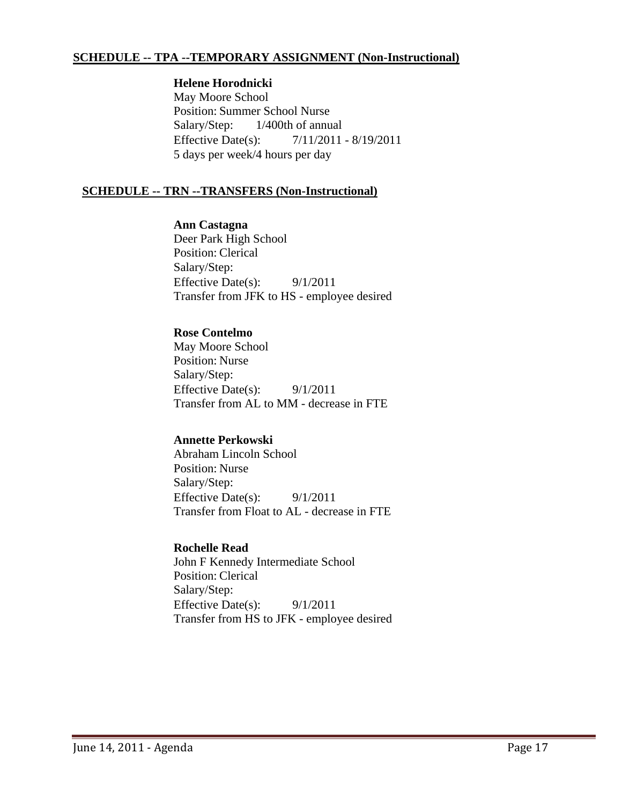#### **SCHEDULE -- TPA --TEMPORARY ASSIGNMENT (Non-Instructional)**

#### **Helene Horodnicki**

May Moore School Position: Summer School Nurse Salary/Step: 1/400th of annual Effective Date(s): 7/11/2011 - 8/19/2011 5 days per week/4 hours per day

#### **SCHEDULE -- TRN --TRANSFERS (Non-Instructional)**

#### **Ann Castagna**

Deer Park High School Position: Clerical Salary/Step: Effective Date(s): 9/1/2011 Transfer from JFK to HS - employee desired

#### **Rose Contelmo**

May Moore School Position: Nurse Salary/Step: Effective Date(s):  $9/1/2011$ Transfer from AL to MM - decrease in FTE

#### **Annette Perkowski**

Abraham Lincoln School Position: Nurse Salary/Step: Effective Date(s): 9/1/2011 Transfer from Float to AL - decrease in FTE

#### **Rochelle Read**

John F Kennedy Intermediate School Position: Clerical Salary/Step: Effective Date(s): 9/1/2011 Transfer from HS to JFK - employee desired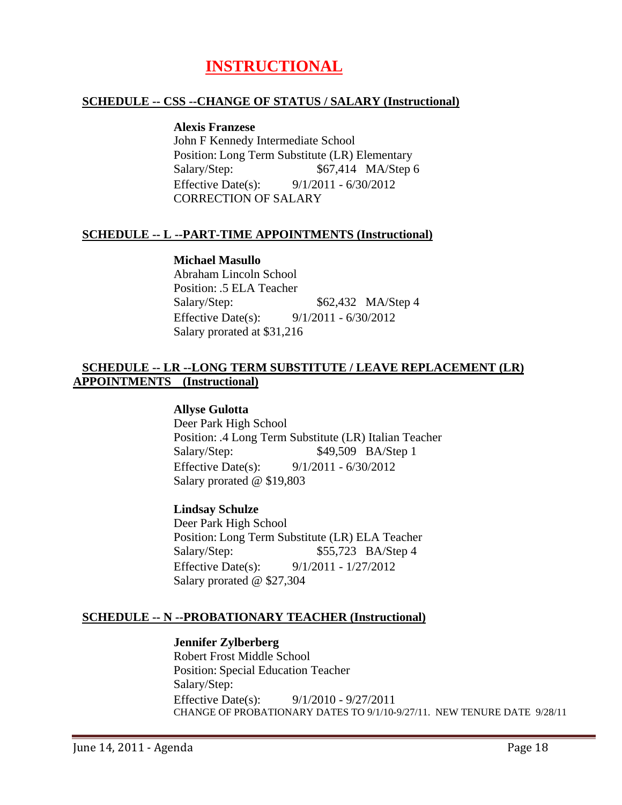# **INSTRUCTIONAL**

#### **SCHEDULE -- CSS --CHANGE OF STATUS / SALARY (Instructional)**

#### **Alexis Franzese**

John F Kennedy Intermediate School Position: Long Term Substitute (LR) Elementary Salary/Step:  $$67,414 \text{ MA/Step 6}$ Effective Date(s): 9/1/2011 - 6/30/2012 CORRECTION OF SALARY

#### **SCHEDULE -- L --PART-TIME APPOINTMENTS (Instructional)**

#### **Michael Masullo**

Abraham Lincoln School Position: .5 ELA Teacher Salary/Step: \$62,432 MA/Step 4 Effective Date(s): 9/1/2011 - 6/30/2012 Salary prorated at \$31,216

#### **SCHEDULE -- LR --LONG TERM SUBSTITUTE / LEAVE REPLACEMENT (LR) APPOINTMENTS (Instructional)**

#### **Allyse Gulotta**

Deer Park High School Position: .4 Long Term Substitute (LR) Italian Teacher Salary/Step: \$49,509 BA/Step 1 Effective Date(s): 9/1/2011 - 6/30/2012 Salary prorated @ \$19,803

#### **Lindsay Schulze**

Deer Park High School Position: Long Term Substitute (LR) ELA Teacher Salary/Step:  $$55,723$  BA/Step 4 Effective Date(s): 9/1/2011 - 1/27/2012 Salary prorated @ \$27,304

#### **SCHEDULE -- N --PROBATIONARY TEACHER (Instructional)**

#### **Jennifer Zylberberg**

Robert Frost Middle School Position: Special Education Teacher Salary/Step: Effective Date(s): 9/1/2010 - 9/27/2011 CHANGE OF PROBATIONARY DATES TO 9/1/10-9/27/11. NEW TENURE DATE 9/28/11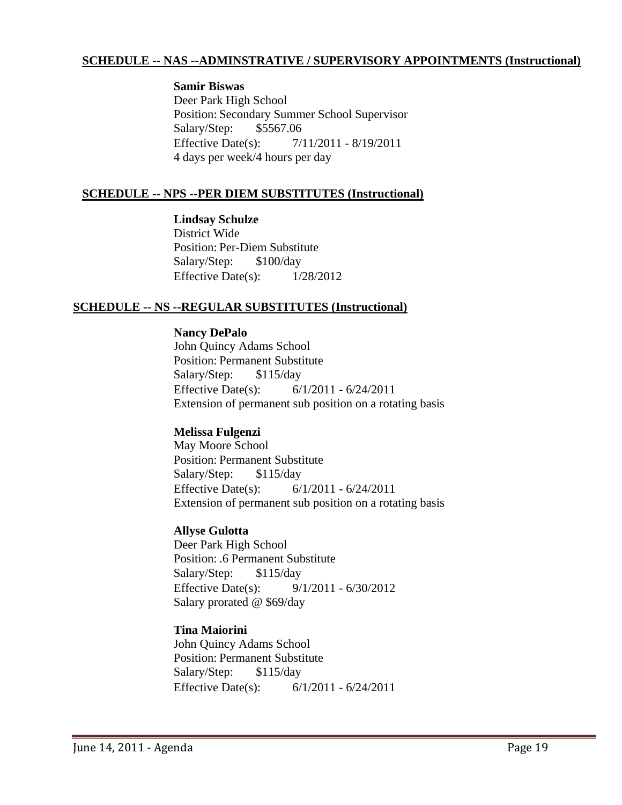#### **SCHEDULE -- NAS --ADMINSTRATIVE / SUPERVISORY APPOINTMENTS (Instructional)**

#### **Samir Biswas**

Deer Park High School Position: Secondary Summer School Supervisor Salary/Step: \$5567.06 Effective Date(s): 7/11/2011 - 8/19/2011 4 days per week/4 hours per day

#### **SCHEDULE -- NPS --PER DIEM SUBSTITUTES (Instructional)**

**Lindsay Schulze** District Wide Position: Per-Diem Substitute Salary/Step: \$100/day Effective Date(s):  $1/28/2012$ 

#### **SCHEDULE -- NS --REGULAR SUBSTITUTES (Instructional)**

## **Nancy DePalo**

John Quincy Adams School Position: Permanent Substitute Salary/Step: \$115/day Effective Date(s): 6/1/2011 - 6/24/2011 Extension of permanent sub position on a rotating basis

#### **Melissa Fulgenzi**

May Moore School Position: Permanent Substitute Salary/Step: \$115/day Effective Date(s): 6/1/2011 - 6/24/2011 Extension of permanent sub position on a rotating basis

#### **Allyse Gulotta**

Deer Park High School Position: .6 Permanent Substitute Salary/Step: \$115/day Effective Date(s): 9/1/2011 - 6/30/2012 Salary prorated @ \$69/day

#### **Tina Maiorini**

John Quincy Adams School Position: Permanent Substitute Salary/Step: \$115/day Effective Date(s): 6/1/2011 - 6/24/2011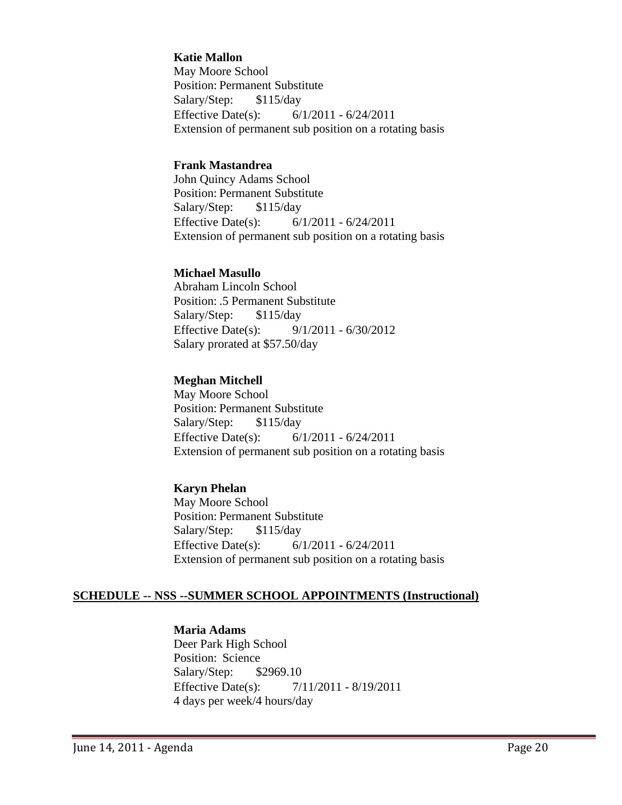#### **Katie Mallon**

May Moore School Position: Permanent Substitute Salary/Step: \$115/day Effective Date(s): 6/1/2011 - 6/24/2011 Extension of permanent sub position on a rotating basis

#### **Frank Mastandrea**

John Quincy Adams School Position: Permanent Substitute Salary/Step: \$115/day Effective Date(s): 6/1/2011 - 6/24/2011 Extension of permanent sub position on a rotating basis

#### **Michael Masullo**

Abraham Lincoln School Position: .5 Permanent Substitute Salary/Step: \$115/day Effective Date(s): 9/1/2011 - 6/30/2012 Salary prorated at \$57.50/day

#### **Meghan Mitchell**

May Moore School Position: Permanent Substitute Salary/Step: \$115/day Effective Date(s): 6/1/2011 - 6/24/2011 Extension of permanent sub position on a rotating basis

#### **Karyn Phelan**

May Moore School Position: Permanent Substitute Salary/Step: \$115/day Effective Date(s): 6/1/2011 - 6/24/2011 Extension of permanent sub position on a rotating basis

#### **SCHEDULE -- NSS --SUMMER SCHOOL APPOINTMENTS (Instructional)**

#### **Maria Adams**

Deer Park High School Position: Science Salary/Step: \$2969.10 Effective Date(s): 7/11/2011 - 8/19/2011 4 days per week/4 hours/day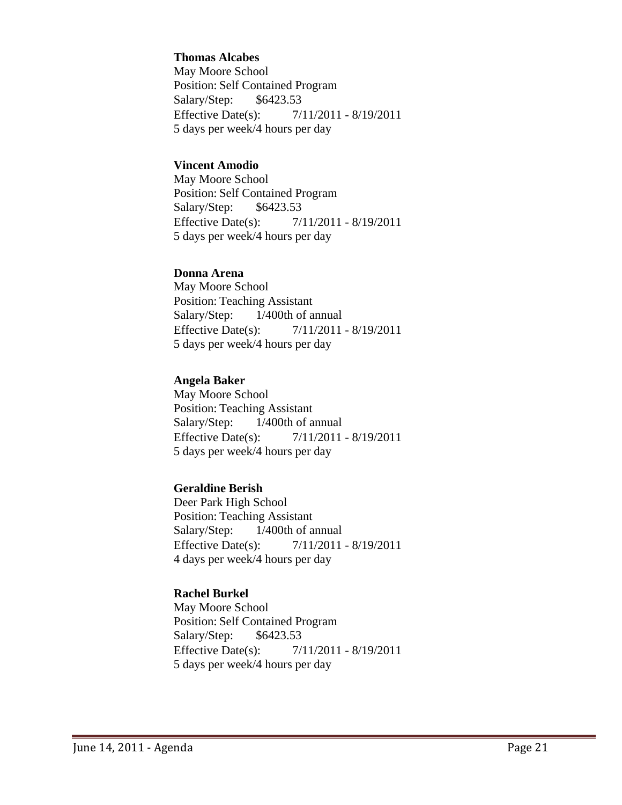#### **Thomas Alcabes**

May Moore School Position: Self Contained Program Salary/Step: \$6423.53 Effective Date(s): 7/11/2011 - 8/19/2011 5 days per week/4 hours per day

#### **Vincent Amodio**

May Moore School Position: Self Contained Program Salary/Step: \$6423.53 Effective Date(s): 7/11/2011 - 8/19/2011 5 days per week/4 hours per day

#### **Donna Arena**

May Moore School Position: Teaching Assistant Salary/Step: 1/400th of annual Effective Date(s): 7/11/2011 - 8/19/2011 5 days per week/4 hours per day

### **Angela Baker**

May Moore School Position: Teaching Assistant Salary/Step: 1/400th of annual Effective Date(s): 7/11/2011 - 8/19/2011 5 days per week/4 hours per day

### **Geraldine Berish**

Deer Park High School Position: Teaching Assistant Salary/Step: 1/400th of annual Effective Date(s): 7/11/2011 - 8/19/2011 4 days per week/4 hours per day

### **Rachel Burkel**

May Moore School Position: Self Contained Program Salary/Step: \$6423.53 Effective Date(s): 7/11/2011 - 8/19/2011 5 days per week/4 hours per day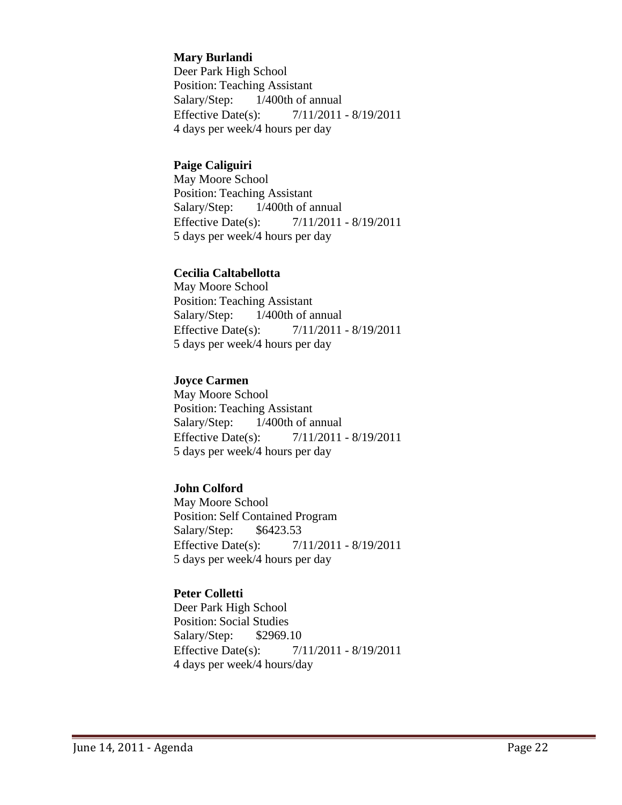#### **Mary Burlandi**

Deer Park High School Position: Teaching Assistant Salary/Step: 1/400th of annual Effective Date(s): 7/11/2011 - 8/19/2011 4 days per week/4 hours per day

#### **Paige Caliguiri**

May Moore School Position: Teaching Assistant Salary/Step: 1/400th of annual Effective Date(s): 7/11/2011 - 8/19/2011 5 days per week/4 hours per day

#### **Cecilia Caltabellotta**

May Moore School Position: Teaching Assistant Salary/Step: 1/400th of annual Effective Date(s): 7/11/2011 - 8/19/2011 5 days per week/4 hours per day

### **Joyce Carmen**

May Moore School Position: Teaching Assistant Salary/Step: 1/400th of annual Effective Date(s): 7/11/2011 - 8/19/2011 5 days per week/4 hours per day

### **John Colford**

May Moore School Position: Self Contained Program Salary/Step: \$6423.53 Effective Date(s): 7/11/2011 - 8/19/2011 5 days per week/4 hours per day

#### **Peter Colletti**

Deer Park High School Position: Social Studies Salary/Step: \$2969.10 Effective Date(s): 7/11/2011 - 8/19/2011 4 days per week/4 hours/day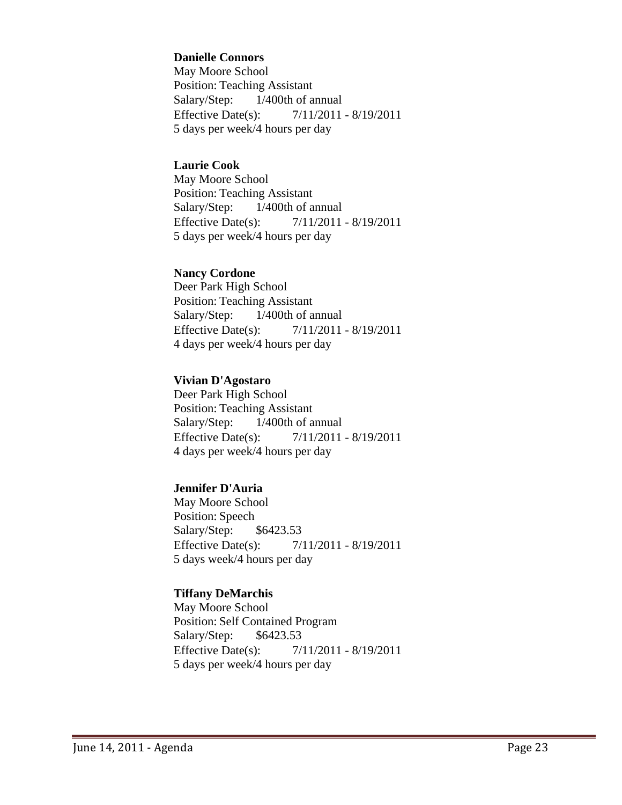#### **Danielle Connors**

May Moore School Position: Teaching Assistant Salary/Step: 1/400th of annual Effective Date(s): 7/11/2011 - 8/19/2011 5 days per week/4 hours per day

#### **Laurie Cook**

May Moore School Position: Teaching Assistant Salary/Step: 1/400th of annual Effective Date(s): 7/11/2011 - 8/19/2011 5 days per week/4 hours per day

#### **Nancy Cordone**

Deer Park High School Position: Teaching Assistant Salary/Step: 1/400th of annual Effective Date(s): 7/11/2011 - 8/19/2011 4 days per week/4 hours per day

#### **Vivian D'Agostaro**

Deer Park High School Position: Teaching Assistant Salary/Step: 1/400th of annual Effective Date(s): 7/11/2011 - 8/19/2011 4 days per week/4 hours per day

#### **Jennifer D'Auria**

May Moore School Position: Speech Salary/Step: \$6423.53 Effective Date(s): 7/11/2011 - 8/19/2011 5 days week/4 hours per day

#### **Tiffany DeMarchis**

May Moore School Position: Self Contained Program Salary/Step: \$6423.53 Effective Date(s): 7/11/2011 - 8/19/2011 5 days per week/4 hours per day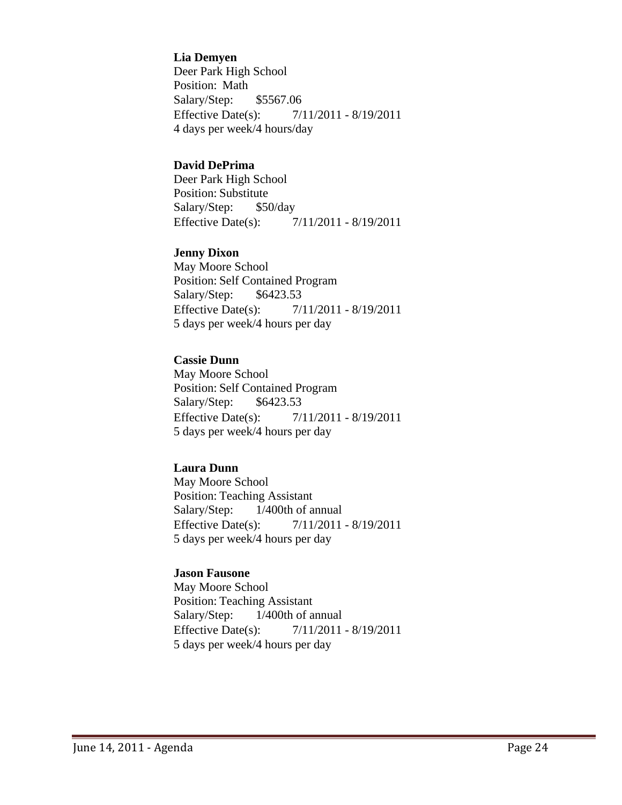#### **Lia Demyen**

Deer Park High School Position: Math Salary/Step: \$5567.06 Effective Date(s): 7/11/2011 - 8/19/2011 4 days per week/4 hours/day

#### **David DePrima**

Deer Park High School Position: Substitute Salary/Step: \$50/day Effective Date(s): 7/11/2011 - 8/19/2011

#### **Jenny Dixon**

May Moore School Position: Self Contained Program Salary/Step: \$6423.53 Effective Date(s): 7/11/2011 - 8/19/2011 5 days per week/4 hours per day

## **Cassie Dunn**

May Moore School Position: Self Contained Program Salary/Step: \$6423.53 Effective Date(s): 7/11/2011 - 8/19/2011 5 days per week/4 hours per day

#### **Laura Dunn**

May Moore School Position: Teaching Assistant Salary/Step: 1/400th of annual Effective Date(s): 7/11/2011 - 8/19/2011 5 days per week/4 hours per day

### **Jason Fausone**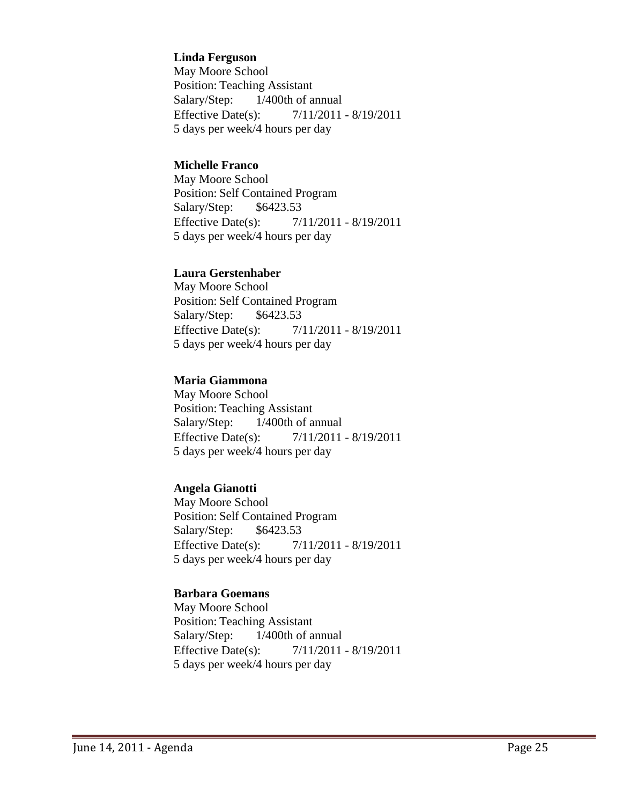#### **Linda Ferguson**

May Moore School Position: Teaching Assistant Salary/Step: 1/400th of annual Effective Date(s): 7/11/2011 - 8/19/2011 5 days per week/4 hours per day

#### **Michelle Franco**

May Moore School Position: Self Contained Program Salary/Step: \$6423.53 Effective Date(s): 7/11/2011 - 8/19/2011 5 days per week/4 hours per day

#### **Laura Gerstenhaber**

May Moore School Position: Self Contained Program Salary/Step: \$6423.53 Effective Date(s): 7/11/2011 - 8/19/2011 5 days per week/4 hours per day

#### **Maria Giammona**

May Moore School Position: Teaching Assistant Salary/Step: 1/400th of annual Effective Date(s): 7/11/2011 - 8/19/2011 5 days per week/4 hours per day

### **Angela Gianotti**

May Moore School Position: Self Contained Program Salary/Step: \$6423.53 Effective Date(s): 7/11/2011 - 8/19/2011 5 days per week/4 hours per day

#### **Barbara Goemans**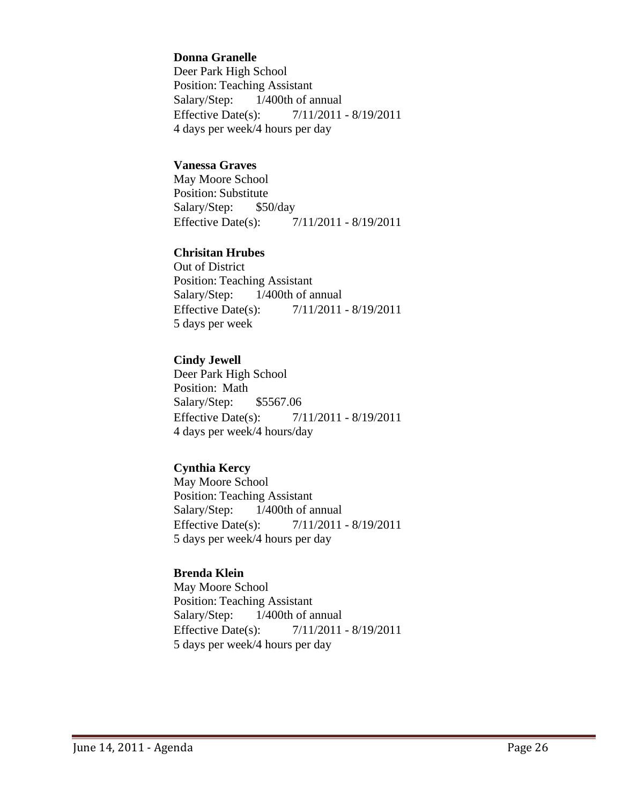#### **Donna Granelle**

Deer Park High School Position: Teaching Assistant Salary/Step: 1/400th of annual Effective Date(s): 7/11/2011 - 8/19/2011 4 days per week/4 hours per day

#### **Vanessa Graves**

May Moore School Position: Substitute Salary/Step: \$50/day Effective Date(s): 7/11/2011 - 8/19/2011

#### **Chrisitan Hrubes**

Out of District Position: Teaching Assistant Salary/Step: 1/400th of annual Effective Date(s): 7/11/2011 - 8/19/2011 5 days per week

#### **Cindy Jewell**

Deer Park High School Position: Math Salary/Step: \$5567.06 Effective Date(s): 7/11/2011 - 8/19/2011 4 days per week/4 hours/day

#### **Cynthia Kercy**

May Moore School Position: Teaching Assistant Salary/Step: 1/400th of annual Effective Date(s): 7/11/2011 - 8/19/2011 5 days per week/4 hours per day

### **Brenda Klein**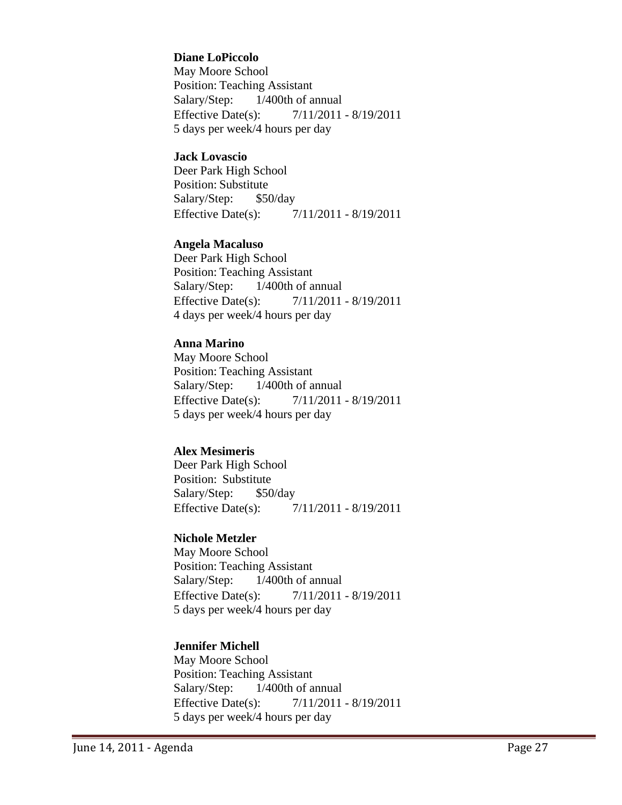#### **Diane LoPiccolo**

May Moore School Position: Teaching Assistant Salary/Step: 1/400th of annual Effective Date(s): 7/11/2011 - 8/19/2011 5 days per week/4 hours per day

#### **Jack Lovascio**

Deer Park High School Position: Substitute Salary/Step: \$50/day Effective Date(s): 7/11/2011 - 8/19/2011

#### **Angela Macaluso**

Deer Park High School Position: Teaching Assistant Salary/Step: 1/400th of annual Effective Date(s): 7/11/2011 - 8/19/2011 4 days per week/4 hours per day

#### **Anna Marino**

May Moore School Position: Teaching Assistant Salary/Step: 1/400th of annual Effective Date(s): 7/11/2011 - 8/19/2011 5 days per week/4 hours per day

#### **Alex Mesimeris**

Deer Park High School Position: Substitute Salary/Step: \$50/day Effective Date(s): 7/11/2011 - 8/19/2011

## **Nichole Metzler**

May Moore School Position: Teaching Assistant Salary/Step: 1/400th of annual Effective Date(s): 7/11/2011 - 8/19/2011 5 days per week/4 hours per day

#### **Jennifer Michell**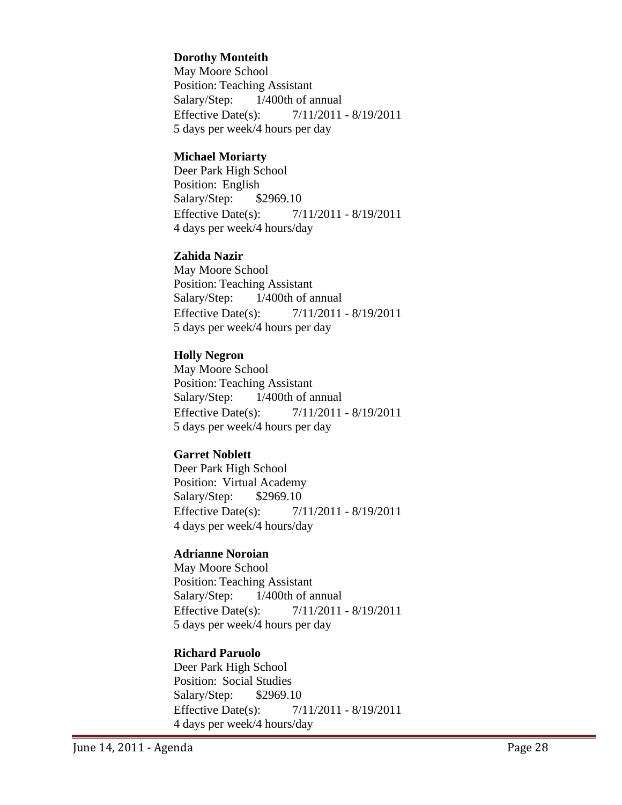#### **Dorothy Monteith**

May Moore School Position: Teaching Assistant Salary/Step: 1/400th of annual Effective Date(s): 7/11/2011 - 8/19/2011 5 days per week/4 hours per day

#### **Michael Moriarty**

Deer Park High School Position: English Salary/Step: \$2969.10 Effective Date(s): 7/11/2011 - 8/19/2011 4 days per week/4 hours/day

#### **Zahida Nazir**

May Moore School Position: Teaching Assistant Salary/Step: 1/400th of annual Effective Date(s): 7/11/2011 - 8/19/2011 5 days per week/4 hours per day

#### **Holly Negron**

May Moore School Position: Teaching Assistant Salary/Step: 1/400th of annual Effective Date(s): 7/11/2011 - 8/19/2011 5 days per week/4 hours per day

#### **Garret Noblett**

Deer Park High School Position: Virtual Academy Salary/Step: \$2969.10 Effective Date(s): 7/11/2011 - 8/19/2011 4 days per week/4 hours/day

#### **Adrianne Noroian**

May Moore School Position: Teaching Assistant Salary/Step: 1/400th of annual Effective Date(s): 7/11/2011 - 8/19/2011 5 days per week/4 hours per day

#### **Richard Paruolo**

Deer Park High School Position: Social Studies Salary/Step: \$2969.10 Effective Date(s): 7/11/2011 - 8/19/2011 4 days per week/4 hours/day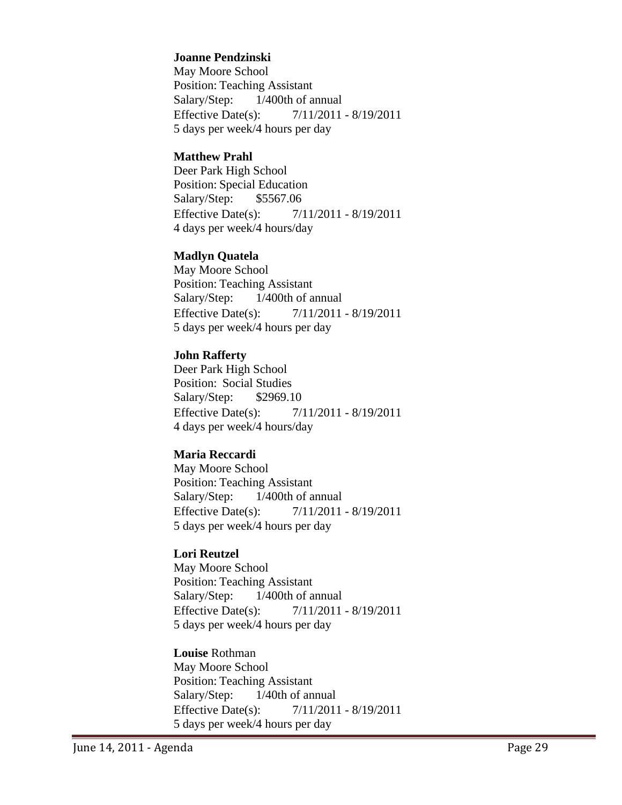#### **Joanne Pendzinski**

May Moore School Position: Teaching Assistant Salary/Step: 1/400th of annual Effective Date(s): 7/11/2011 - 8/19/2011 5 days per week/4 hours per day

#### **Matthew Prahl**

Deer Park High School Position: Special Education Salary/Step: \$5567.06 Effective Date(s): 7/11/2011 - 8/19/2011 4 days per week/4 hours/day

#### **Madlyn Quatela**

May Moore School Position: Teaching Assistant Salary/Step: 1/400th of annual Effective Date(s): 7/11/2011 - 8/19/2011 5 days per week/4 hours per day

### **John Rafferty**

Deer Park High School Position: Social Studies Salary/Step: \$2969.10 Effective Date(s): 7/11/2011 - 8/19/2011 4 days per week/4 hours/day

### **Maria Reccardi**

May Moore School Position: Teaching Assistant Salary/Step: 1/400th of annual Effective Date(s): 7/11/2011 - 8/19/2011 5 days per week/4 hours per day

### **Lori Reutzel**

May Moore School Position: Teaching Assistant Salary/Step: 1/400th of annual Effective Date(s): 7/11/2011 - 8/19/2011 5 days per week/4 hours per day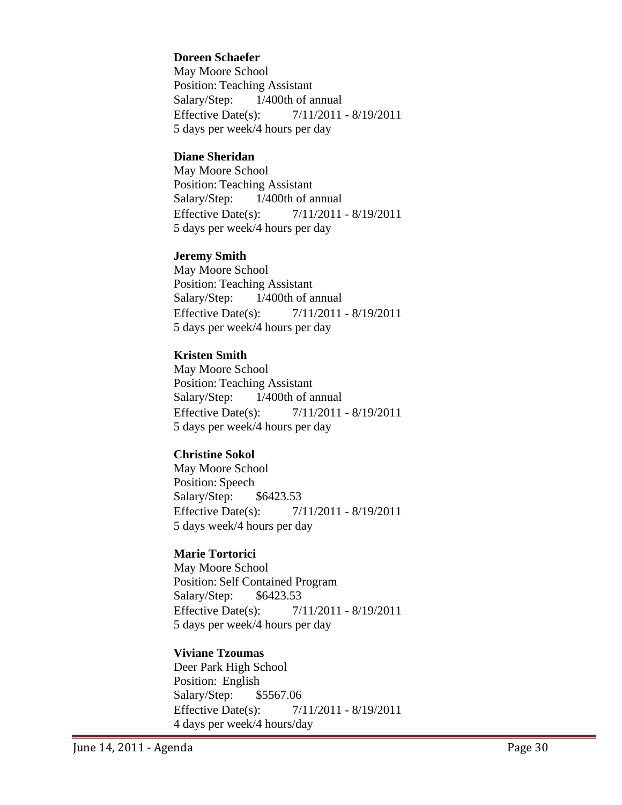#### **Doreen Schaefer**

May Moore School Position: Teaching Assistant Salary/Step: 1/400th of annual Effective Date(s): 7/11/2011 - 8/19/2011 5 days per week/4 hours per day

#### **Diane Sheridan**

May Moore School Position: Teaching Assistant Salary/Step: 1/400th of annual Effective Date(s): 7/11/2011 - 8/19/2011 5 days per week/4 hours per day

#### **Jeremy Smith**

May Moore School Position: Teaching Assistant Salary/Step: 1/400th of annual Effective Date(s): 7/11/2011 - 8/19/2011 5 days per week/4 hours per day

### **Kristen Smith**

May Moore School Position: Teaching Assistant Salary/Step: 1/400th of annual Effective Date(s): 7/11/2011 - 8/19/2011 5 days per week/4 hours per day

### **Christine Sokol**

May Moore School Position: Speech Salary/Step: \$6423.53 Effective Date(s): 7/11/2011 - 8/19/2011 5 days week/4 hours per day

### **Marie Tortorici**

May Moore School Position: Self Contained Program Salary/Step: \$6423.53 Effective Date(s): 7/11/2011 - 8/19/2011 5 days per week/4 hours per day

### **Viviane Tzoumas**

Deer Park High School Position: English Salary/Step: \$5567.06 Effective Date(s): 7/11/2011 - 8/19/2011 4 days per week/4 hours/day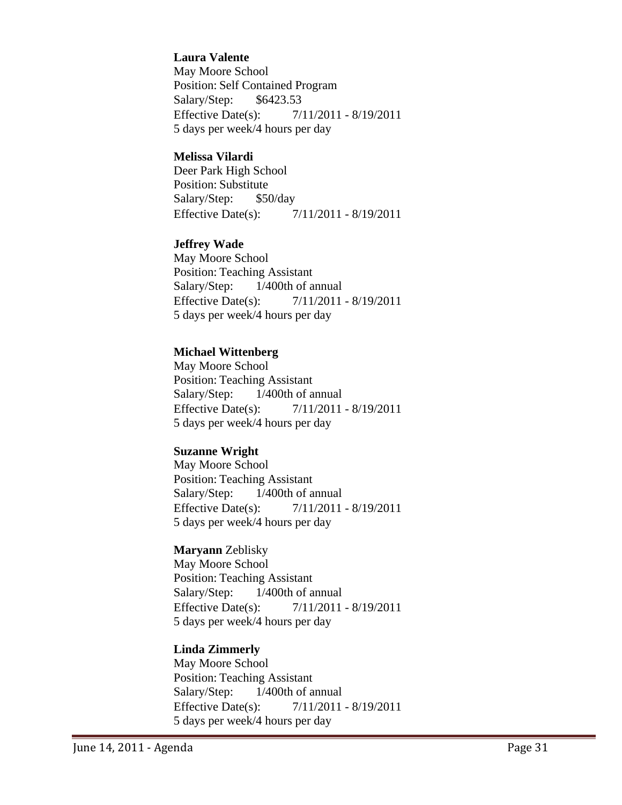#### **Laura Valente**

May Moore School Position: Self Contained Program Salary/Step: \$6423.53 Effective Date(s): 7/11/2011 - 8/19/2011 5 days per week/4 hours per day

#### **Melissa Vilardi**

Deer Park High School Position: Substitute Salary/Step: \$50/day Effective Date(s): 7/11/2011 - 8/19/2011

#### **Jeffrey Wade**

May Moore School Position: Teaching Assistant Salary/Step: 1/400th of annual Effective Date(s): 7/11/2011 - 8/19/2011 5 days per week/4 hours per day

#### **Michael Wittenberg**

May Moore School Position: Teaching Assistant Salary/Step: 1/400th of annual Effective Date(s): 7/11/2011 - 8/19/2011 5 days per week/4 hours per day

#### **Suzanne Wright**

May Moore School Position: Teaching Assistant Salary/Step: 1/400th of annual Effective Date(s): 7/11/2011 - 8/19/2011 5 days per week/4 hours per day

#### **Maryann** Zeblisky

May Moore School Position: Teaching Assistant Salary/Step: 1/400th of annual Effective Date(s): 7/11/2011 - 8/19/2011 5 days per week/4 hours per day

#### **Linda Zimmerly**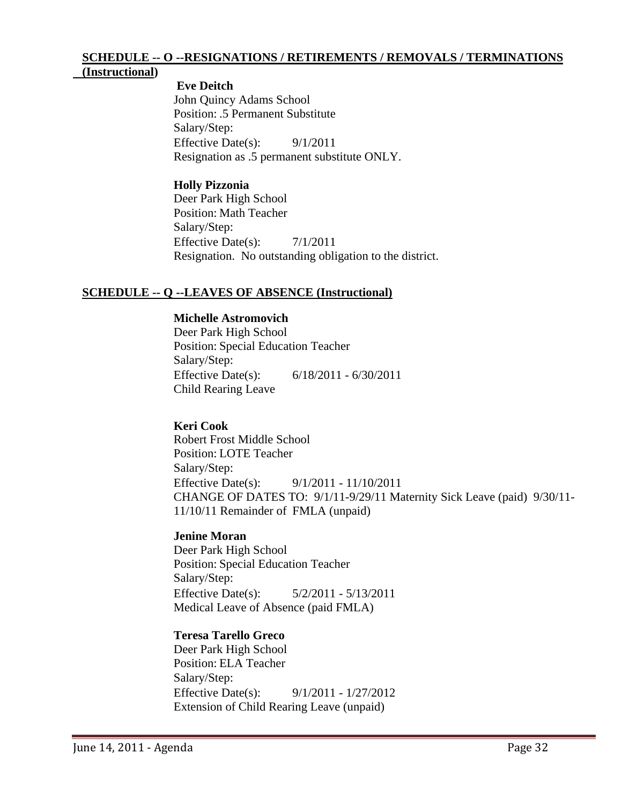# **SCHEDULE -- O --RESIGNATIONS / RETIREMENTS / REMOVALS / TERMINATIONS**

## **(Instructional)**

 **Eve Deitch** John Quincy Adams School Position: .5 Permanent Substitute Salary/Step: Effective Date(s):  $9/1/2011$ Resignation as .5 permanent substitute ONLY.

#### **Holly Pizzonia**

Deer Park High School Position: Math Teacher Salary/Step: Effective Date(s): 7/1/2011 Resignation. No outstanding obligation to the district.

### **SCHEDULE -- Q --LEAVES OF ABSENCE (Instructional)**

## **Michelle Astromovich**

Deer Park High School Position: Special Education Teacher Salary/Step: Effective Date(s): 6/18/2011 - 6/30/2011 Child Rearing Leave

### **Keri Cook**

Robert Frost Middle School Position: LOTE Teacher Salary/Step: Effective Date(s): 9/1/2011 - 11/10/2011 CHANGE OF DATES TO: 9/1/11-9/29/11 Maternity Sick Leave (paid) 9/30/11- 11/10/11 Remainder of FMLA (unpaid)

### **Jenine Moran**

Deer Park High School Position: Special Education Teacher Salary/Step: Effective Date(s): 5/2/2011 - 5/13/2011 Medical Leave of Absence (paid FMLA)

### **Teresa Tarello Greco**

Deer Park High School Position: ELA Teacher Salary/Step: Effective Date(s): 9/1/2011 - 1/27/2012 Extension of Child Rearing Leave (unpaid)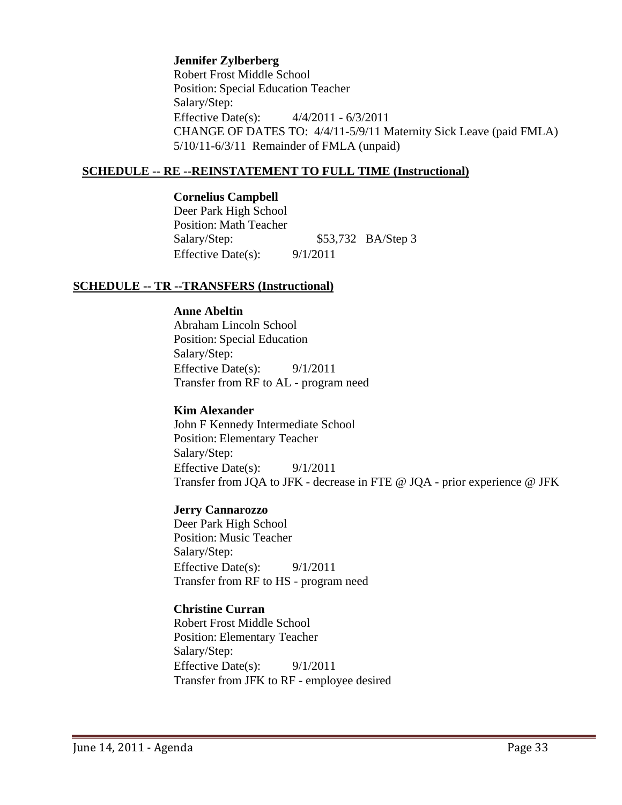#### **Jennifer Zylberberg**

Robert Frost Middle School Position: Special Education Teacher Salary/Step: Effective Date(s): 4/4/2011 - 6/3/2011 CHANGE OF DATES TO: 4/4/11-5/9/11 Maternity Sick Leave (paid FMLA) 5/10/11-6/3/11 Remainder of FMLA (unpaid)

#### **SCHEDULE -- RE --REINSTATEMENT TO FULL TIME (Instructional)**

#### **Cornelius Campbell**

Deer Park High School Position: Math Teacher Salary/Step: \$53,732 BA/Step 3 Effective Date(s):  $9/1/2011$ 

#### **SCHEDULE -- TR --TRANSFERS (Instructional)**

#### **Anne Abeltin**

Abraham Lincoln School Position: Special Education Salary/Step: Effective Date(s): 9/1/2011 Transfer from RF to AL - program need

#### **Kim Alexander**

John F Kennedy Intermediate School Position: Elementary Teacher Salary/Step: Effective Date(s): 9/1/2011 Transfer from JQA to JFK - decrease in FTE @ JQA - prior experience @ JFK

#### **Jerry Cannarozzo**

Deer Park High School Position: Music Teacher Salary/Step: Effective Date(s): 9/1/2011 Transfer from RF to HS - program need

### **Christine Curran**

Robert Frost Middle School Position: Elementary Teacher Salary/Step: Effective Date(s):  $9/1/2011$ Transfer from JFK to RF - employee desired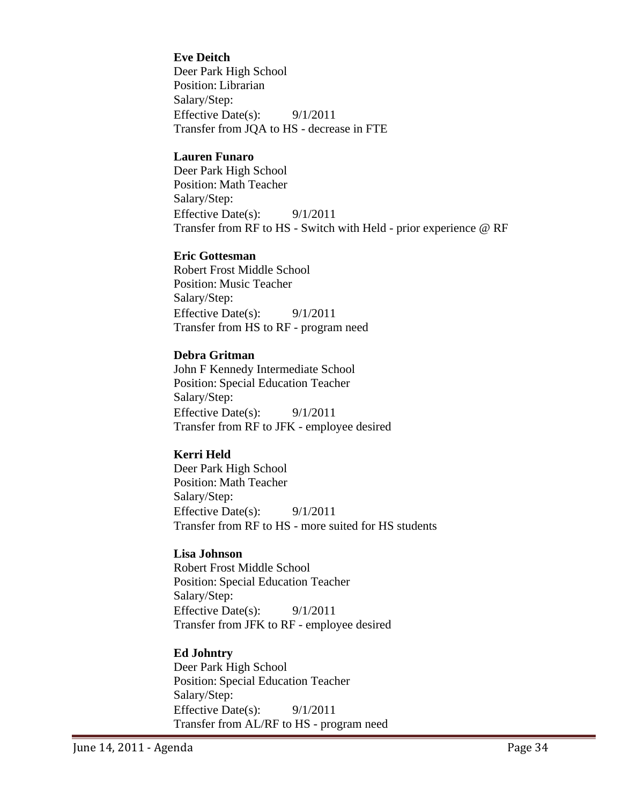#### **Eve Deitch**

Deer Park High School Position: Librarian Salary/Step: Effective Date(s): 9/1/2011 Transfer from JQA to HS - decrease in FTE

#### **Lauren Funaro**

Deer Park High School Position: Math Teacher Salary/Step: Effective Date(s): 9/1/2011 Transfer from RF to HS - Switch with Held - prior experience @ RF

#### **Eric Gottesman**

Robert Frost Middle School Position: Music Teacher Salary/Step: Effective Date(s): 9/1/2011 Transfer from HS to RF - program need

#### **Debra Gritman**

John F Kennedy Intermediate School Position: Special Education Teacher Salary/Step: Effective Date(s): 9/1/2011 Transfer from RF to JFK - employee desired

#### **Kerri Held**

Deer Park High School Position: Math Teacher Salary/Step: Effective Date(s): 9/1/2011 Transfer from RF to HS - more suited for HS students

#### **Lisa Johnson**

Robert Frost Middle School Position: Special Education Teacher Salary/Step: Effective Date(s): 9/1/2011 Transfer from JFK to RF - employee desired

#### **Ed Johntry**

Deer Park High School Position: Special Education Teacher Salary/Step: Effective Date(s):  $9/1/2011$ Transfer from AL/RF to HS - program need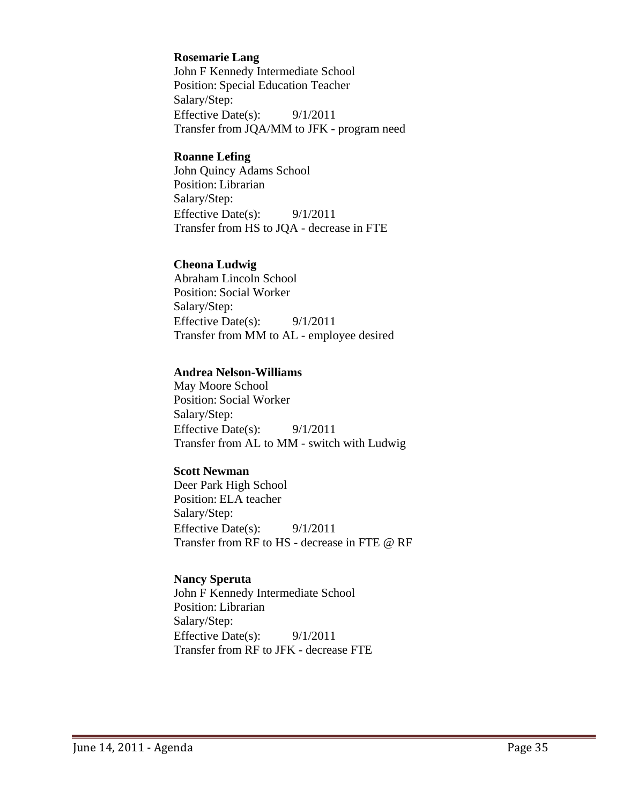#### **Rosemarie Lang**

John F Kennedy Intermediate School Position: Special Education Teacher Salary/Step: Effective Date(s): 9/1/2011 Transfer from JQA/MM to JFK - program need

#### **Roanne Lefing**

John Quincy Adams School Position: Librarian Salary/Step: Effective Date(s): 9/1/2011 Transfer from HS to JQA - decrease in FTE

#### **Cheona Ludwig**

Abraham Lincoln School Position: Social Worker Salary/Step: Effective Date(s):  $9/1/2011$ Transfer from MM to AL - employee desired

#### **Andrea Nelson-Williams**

May Moore School Position: Social Worker Salary/Step: Effective Date(s): 9/1/2011 Transfer from AL to MM - switch with Ludwig

#### **Scott Newman**

Deer Park High School Position: ELA teacher Salary/Step: Effective Date(s): 9/1/2011 Transfer from RF to HS - decrease in FTE @ RF

#### **Nancy Speruta**

John F Kennedy Intermediate School Position: Librarian Salary/Step: Effective Date(s): 9/1/2011 Transfer from RF to JFK - decrease FTE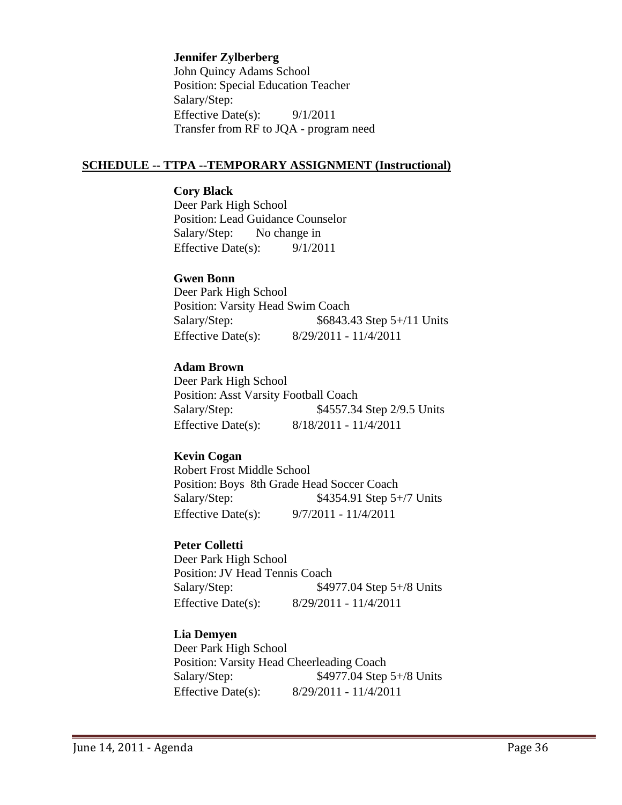#### **Jennifer Zylberberg**

John Quincy Adams School Position: Special Education Teacher Salary/Step: Effective Date(s):  $9/1/2011$ Transfer from RF to JQA - program need

#### **SCHEDULE -- TTPA --TEMPORARY ASSIGNMENT (Instructional)**

#### **Cory Black**

Deer Park High School Position: Lead Guidance Counselor Salary/Step: No change in Effective Date(s): 9/1/2011

#### **Gwen Bonn**

Deer Park High School Position: Varsity Head Swim Coach Salary/Step: \$6843.43 Step 5+/11 Units Effective Date(s): 8/29/2011 - 11/4/2011

#### **Adam Brown**

Deer Park High School Position: Asst Varsity Football Coach Salary/Step:  $$4557.34$  Step 2/9.5 Units Effective Date(s): 8/18/2011 - 11/4/2011

#### **Kevin Cogan**

Robert Frost Middle School Position: Boys 8th Grade Head Soccer Coach Salary/Step: \$4354.91 Step 5+/7 Units Effective Date(s): 9/7/2011 - 11/4/2011

#### **Peter Colletti**

Deer Park High School Position:JV Head Tennis Coach Salary/Step: \$4977.04 Step 5+/8 Units Effective Date(s): 8/29/2011 - 11/4/2011

### **Lia Demyen**

Deer Park High School Position: Varsity Head Cheerleading Coach Salary/Step:  $$4977.04$  Step 5+/8 Units Effective Date(s): 8/29/2011 - 11/4/2011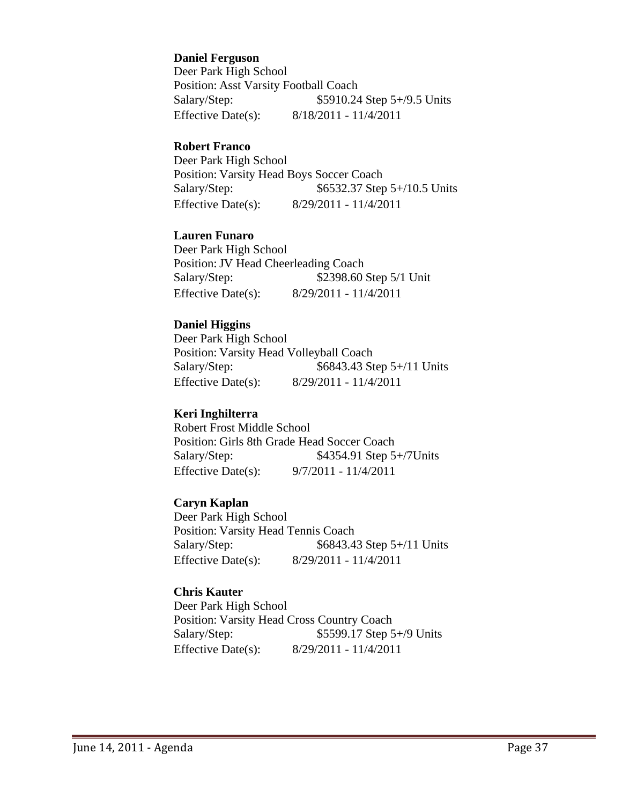**Daniel Ferguson**

Deer Park High School Position: Asst Varsity Football Coach Salary/Step: \$5910.24 Step 5+/9.5 Units Effective Date(s): 8/18/2011 - 11/4/2011

#### **Robert Franco**

Deer Park High School Position: Varsity Head Boys Soccer Coach Salary/Step: \$6532.37 Step 5+/10.5 Units Effective Date(s): 8/29/2011 - 11/4/2011

## **Lauren Funaro**

Deer Park High School Position:JV Head Cheerleading Coach Salary/Step: \$2398.60 Step 5/1 Unit Effective Date(s): 8/29/2011 - 11/4/2011

#### **Daniel Higgins**

Deer Park High School Position: Varsity Head Volleyball Coach Salary/Step: \$6843.43 Step 5+/11 Units Effective Date(s): 8/29/2011 - 11/4/2011

## **Keri Inghilterra**

Robert Frost Middle School Position: Girls 8th Grade Head Soccer Coach Salary/Step: \$4354.91 Step 5+/7Units Effective Date(s): 9/7/2011 - 11/4/2011

## **Caryn Kaplan**

Deer Park High School Position: Varsity Head Tennis Coach Salary/Step: \$6843.43 Step 5+/11 Units Effective Date(s): 8/29/2011 - 11/4/2011

### **Chris Kauter**

Deer Park High School Position: Varsity Head Cross Country Coach Salary/Step: \$5599.17 Step 5+/9 Units Effective Date(s): 8/29/2011 - 11/4/2011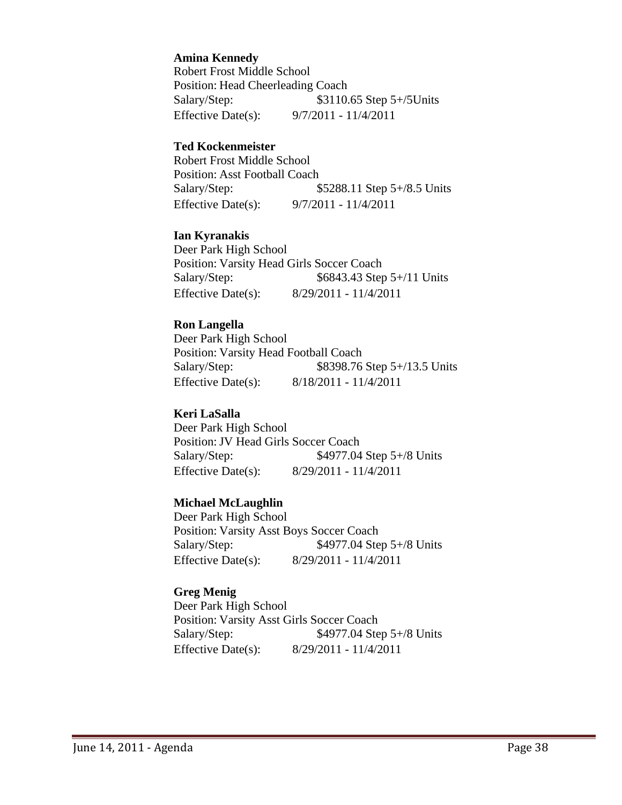**Amina Kennedy**

Robert Frost Middle School Position: Head Cheerleading Coach Salary/Step: \$3110.65 Step 5+/5Units Effective Date(s): 9/7/2011 - 11/4/2011

#### **Ted Kockenmeister**

Robert Frost Middle School Position: Asst Football Coach Salary/Step: \$5288.11 Step 5+/8.5 Units Effective Date(s): 9/7/2011 - 11/4/2011

#### **Ian Kyranakis**

Deer Park High School Position: Varsity Head Girls Soccer Coach Salary/Step: \$6843.43 Step 5+/11 Units Effective Date(s): 8/29/2011 - 11/4/2011

#### **Ron Langella**

Deer Park High School Position: Varsity Head Football Coach Salary/Step: \$8398.76 Step 5+/13.5 Units Effective Date(s): 8/18/2011 - 11/4/2011

#### **Keri LaSalla**

Deer Park High School Position:JV Head Girls Soccer Coach Salary/Step: \$4977.04 Step 5+/8 Units Effective Date(s): 8/29/2011 - 11/4/2011

## **Michael McLaughlin**

Deer Park High School Position: Varsity Asst Boys Soccer Coach Salary/Step: \$4977.04 Step 5+/8 Units Effective Date(s): 8/29/2011 - 11/4/2011

#### **Greg Menig**

Deer Park High School Position: Varsity Asst Girls Soccer Coach Salary/Step:  $$4977.04$  Step 5+/8 Units Effective Date(s): 8/29/2011 - 11/4/2011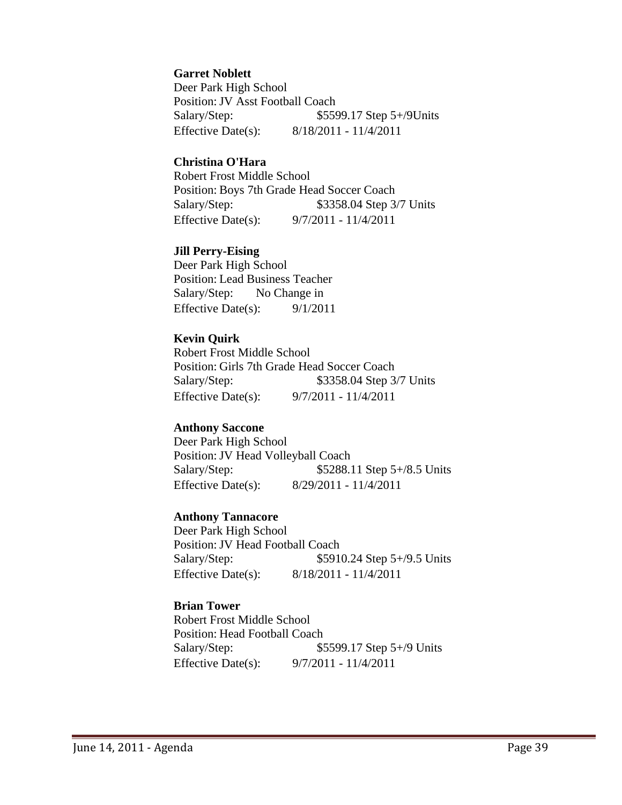#### **Garret Noblett**

Deer Park High School Position: JV Asst Football Coach Salary/Step:  $$5599.17$  Step 5+/9Units Effective Date(s): 8/18/2011 - 11/4/2011

#### **Christina O'Hara**

Robert Frost Middle School Position: Boys 7th Grade Head Soccer Coach Salary/Step: \$3358.04 Step 3/7 Units Effective Date(s): 9/7/2011 - 11/4/2011

#### **Jill Perry-Eising**

Deer Park High School Position: Lead Business Teacher Salary/Step: No Change in Effective Date(s):  $9/1/2011$ 

### **Kevin Quirk**

Robert Frost Middle School Position: Girls 7th Grade Head Soccer Coach Salary/Step: \$3358.04 Step 3/7 Units Effective Date(s): 9/7/2011 - 11/4/2011

## **Anthony Saccone**

Deer Park High School Position: JV Head Volleyball Coach Salary/Step: \$5288.11 Step 5+/8.5 Units Effective Date(s): 8/29/2011 - 11/4/2011

### **Anthony Tannacore**

Deer Park High School Position:JV Head Football Coach Salary/Step: \$5910.24 Step 5+/9.5 Units Effective Date(s): 8/18/2011 - 11/4/2011

## **Brian Tower**

Robert Frost Middle School Position: Head Football Coach Salary/Step: \$5599.17 Step 5+/9 Units Effective Date(s): 9/7/2011 - 11/4/2011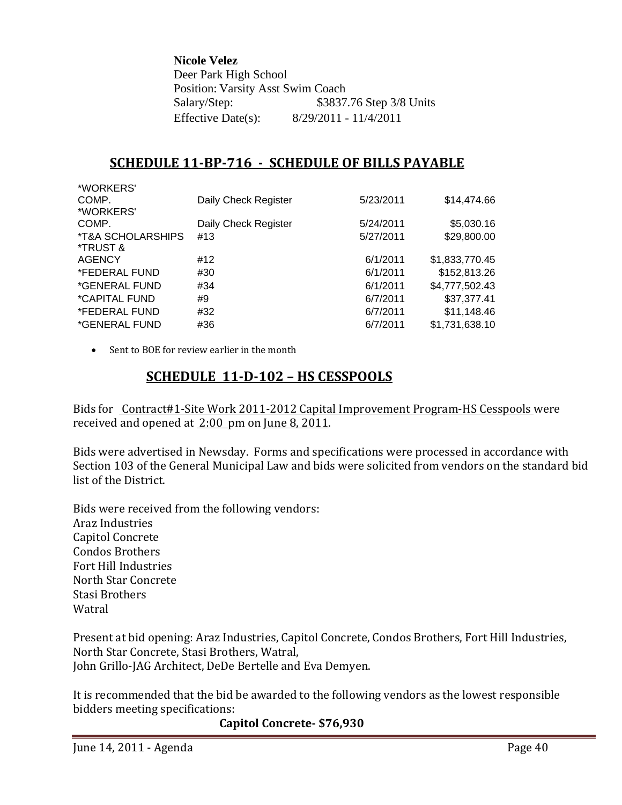**Nicole Velez** Deer Park High School Position: Varsity Asst Swim Coach Salary/Step: \$3837.76 Step 3/8 Units Effective Date(s): 8/29/2011 - 11/4/2011

# **SCHEDULE 11BP716 SCHEDULE OF BILLS PAYABLE**

| Daily Check Register | 5/23/2011 | \$14,474.66    |
|----------------------|-----------|----------------|
|                      |           |                |
| Daily Check Register | 5/24/2011 | \$5,030.16     |
| #13                  | 5/27/2011 | \$29,800.00    |
|                      |           |                |
| #12                  | 6/1/2011  | \$1,833,770.45 |
| #30                  | 6/1/2011  | \$152,813.26   |
| #34                  | 6/1/2011  | \$4,777,502.43 |
| #9                   | 6/7/2011  | \$37,377.41    |
| #32                  | 6/7/2011  | \$11,148.46    |
| #36                  | 6/7/2011  | \$1,731,638.10 |
|                      |           |                |

Sent to BOE for review earlier in the month

# **SCHEDULE 11D102 – HS CESSPOOLS**

Bids for Contract#1-Site Work 2011-2012 Capital Improvement Program-HS Cesspools were received and opened at 2:00 pm on June 8, 2011.

Bids were advertised in Newsday. Forms and specifications were processed in accordance with Section 103 of the General Municipal Law and bids were solicited from vendors on the standard bid list of the District.

Bids were received from the following vendors: Araz Industries Capitol Concrete Condos Brothers Fort Hill Industries North Star Concrete Stasi Brothers Watral

Present at bid opening: Araz Industries, Capitol Concrete, Condos Brothers, Fort Hill Industries, North Star Concrete, Stasi Brothers, Watral, John Grillo‐JAG Architect, DeDe Bertelle and Eva Demyen.

It is recommended that the bid be awarded to the following vendors as the lowest responsible bidders meeting specifications:

## **Capitol Concrete \$76,930**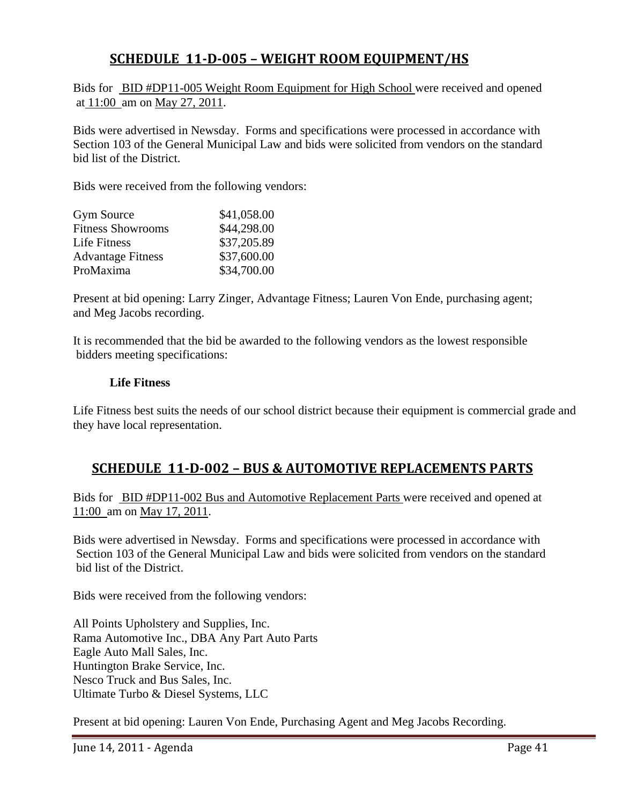# **SCHEDULE 11D005 – WEIGHT ROOM EQUIPMENT/HS**

Bids for BID #DP11-005 Weight Room Equipment for High School were received and opened at 11:00 am on May 27, 2011.

Bids were advertised in Newsday. Forms and specifications were processed in accordance with Section 103 of the General Municipal Law and bids were solicited from vendors on the standard bid list of the District.

Bids were received from the following vendors:

| \$41,058.00 |
|-------------|
| \$44,298.00 |
| \$37,205.89 |
| \$37,600.00 |
| \$34,700.00 |
|             |

Present at bid opening: Larry Zinger, Advantage Fitness; Lauren Von Ende, purchasing agent; and Meg Jacobs recording.

It is recommended that the bid be awarded to the following vendors as the lowest responsible bidders meeting specifications:

#### **Life Fitness**

Life Fitness best suits the needs of our school district because their equipment is commercial grade and they have local representation.

## **SCHEDULE 11D002 – BUS & AUTOMOTIVE REPLACEMENTS PARTS**

Bids for BID #DP11-002 Bus and Automotive Replacement Parts were received and opened at 11:00 am on May 17, 2011.

Bids were advertised in Newsday. Forms and specifications were processed in accordance with Section 103 of the General Municipal Law and bids were solicited from vendors on the standard bid list of the District.

Bids were received from the following vendors:

All Points Upholstery and Supplies, Inc. Rama Automotive Inc., DBA Any Part Auto Parts Eagle Auto Mall Sales, Inc. Huntington Brake Service, Inc. Nesco Truck and Bus Sales, Inc. Ultimate Turbo & Diesel Systems, LLC

Present at bid opening: Lauren Von Ende, Purchasing Agent and Meg Jacobs Recording.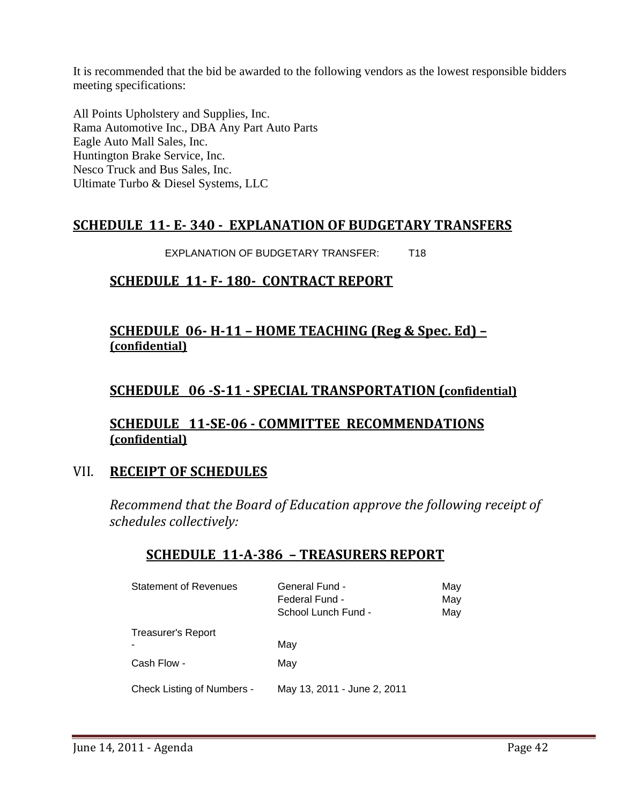It is recommended that the bid be awarded to the following vendors as the lowest responsible bidders meeting specifications:

All Points Upholstery and Supplies, Inc. Rama Automotive Inc., DBA Any Part Auto Parts Eagle Auto Mall Sales, Inc. Huntington Brake Service, Inc. Nesco Truck and Bus Sales, Inc. Ultimate Turbo & Diesel Systems, LLC

## **SCHEDULE 11 E 340 EXPLANATION OF BUDGETARY TRANSFERS**

EXPLANATION OF BUDGETARY TRANSFER: T18

# **SCHEDULE 11 F 180 CONTRACT REPORT**

# **SCHEDULE 06 H11 – HOME TEACHING (Reg & Spec. Ed) – (confidential)**

# **SCHEDULE 06 S11 SPECIAL TRANSPORTATION (confidential)**

## **SCHEDULE 11SE06 COMMITTEE RECOMMENDATIONS (confidential)**

## VII. **RECEIPT OF SCHEDULES**

*Recommend that the Board of Education approve the following receipt of schedules collectively:*

# **SCHEDULE 11A386 – TREASURERS REPORT**

| <b>Statement of Revenues</b>      | General Fund -<br>Federal Fund -<br>School Lunch Fund - | May<br>May<br>May |
|-----------------------------------|---------------------------------------------------------|-------------------|
| <b>Treasurer's Report</b>         | May                                                     |                   |
| Cash Flow -                       | May                                                     |                   |
| <b>Check Listing of Numbers -</b> | May 13, 2011 - June 2, 2011                             |                   |